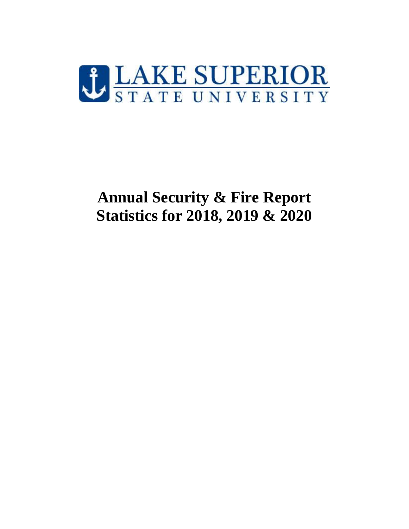

# **Annual Security & Fire Report Statistics for 2018, 2019 & 2020**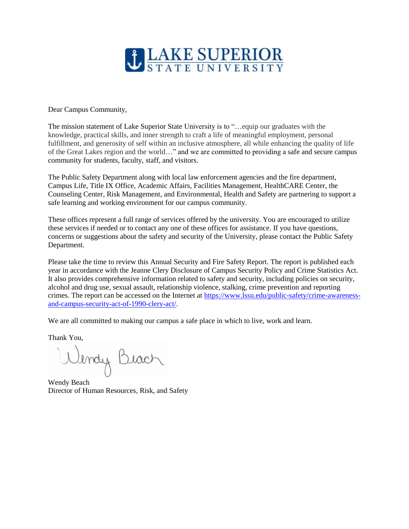

Dear Campus Community,

The mission statement of Lake Superior State University is to "…equip our graduates with the knowledge, practical skills, and inner strength to craft a life of meaningful employment, personal fulfillment, and generosity of self within an inclusive atmosphere, all while enhancing the quality of life of the Great Lakes region and the world…" and we are committed to providing a safe and secure campus community for students, faculty, staff, and visitors.

The Public Safety Department along with local law enforcement agencies and the fire department, Campus Life, Title IX Office, Academic Affairs, Facilities Management, HealthCARE Center, the Counseling Center, Risk Management, and Environmental, Health and Safety are partnering to support a safe learning and working environment for our campus community.

These offices represent a full range of services offered by the university. You are encouraged to utilize these services if needed or to contact any one of these offices for assistance. If you have questions, concerns or suggestions about the safety and security of the University, please contact the Public Safety Department.

Please take the time to review this Annual Security and Fire Safety Report. The report is published each year in accordance with the Jeanne Clery Disclosure of Campus Security Policy and Crime Statistics Act. It also provides comprehensive information related to safety and security, including policies on security, alcohol and drug use, sexual assault, relationship violence, stalking, crime prevention and reporting crimes. The report can be accessed on the Internet at [https://www.lssu.edu/public-safety/crime-awareness](https://www.lssu.edu/public-safety/crime-awareness-and-campus-security-act-of-1990-clery-act/)[and-campus-security-act-of-1990-clery-act/.](https://www.lssu.edu/public-safety/crime-awareness-and-campus-security-act-of-1990-clery-act/)

We are all committed to making our campus a safe place in which to live, work and learn.

Thank You,

Windy Beach

Wendy Beach Director of Human Resources, Risk, and Safety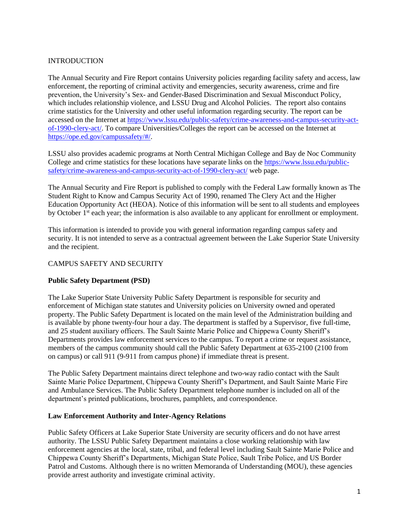# INTRODUCTION

The Annual Security and Fire Report contains University policies regarding facility safety and access, law enforcement, the reporting of criminal activity and emergencies, security awareness, crime and fire prevention, the University's Sex- and Gender-Based Discrimination and Sexual Misconduct Policy, which includes relationship violence, and LSSU Drug and Alcohol Policies. The report also contains crime statistics for the University and other useful information regarding security. The report can be accessed on the Internet at [https://www.lssu.edu/public-safety/crime-awareness-and-campus-security-act](https://www.lssu.edu/public-safety/crime-awareness-and-campus-security-act-of-1990-clery-act/)[of-1990-clery-act/.](https://www.lssu.edu/public-safety/crime-awareness-and-campus-security-act-of-1990-clery-act/) To compare Universities/Colleges the report can be accessed on the Internet at [https://ope.ed.gov/campussafety/#/.](https://ope.ed.gov/campussafety/#/)

LSSU also provides academic programs at North Central Michigan College and Bay de Noc Community College and crime statistics for these locations have separate links on the [https://www.lssu.edu/public](https://www.lssu.edu/public-safety/crime-awareness-and-campus-security-act-of-1990-clery-act/)[safety/crime-awareness-and-campus-security-act-of-1990-clery-act/](https://www.lssu.edu/public-safety/crime-awareness-and-campus-security-act-of-1990-clery-act/) web page.

The Annual Security and Fire Report is published to comply with the Federal Law formally known as The Student Right to Know and Campus Security Act of 1990, renamed The Clery Act and the Higher Education Opportunity Act (HEOA). Notice of this information will be sent to all students and employees by October 1<sup>st</sup> each year; the information is also available to any applicant for enrollment or employment.

This information is intended to provide you with general information regarding campus safety and security. It is not intended to serve as a contractual agreement between the Lake Superior State University and the recipient.

## CAMPUS SAFETY AND SECURITY

# **Public Safety Department (PSD)**

The Lake Superior State University Public Safety Department is responsible for security and enforcement of Michigan state statutes and University policies on University owned and operated property. The Public Safety Department is located on the main level of the Administration building and is available by phone twenty-four hour a day. The department is staffed by a Supervisor, five full-time, and 25 student auxiliary officers. The Sault Sainte Marie Police and Chippewa County Sheriff's Departments provides law enforcement services to the campus. To report a crime or request assistance, members of the campus community should call the Public Safety Department at 635-2100 (2100 from on campus) or call 911 (9-911 from campus phone) if immediate threat is present.

The Public Safety Department maintains direct telephone and two-way radio contact with the Sault Sainte Marie Police Department, Chippewa County Sheriff's Department, and Sault Sainte Marie Fire and Ambulance Services. The Public Safety Department telephone number is included on all of the department's printed publications, brochures, pamphlets, and correspondence.

## **Law Enforcement Authority and Inter-Agency Relations**

Public Safety Officers at Lake Superior State University are security officers and do not have arrest authority. The LSSU Public Safety Department maintains a close working relationship with law enforcement agencies at the local, state, tribal, and federal level including Sault Sainte Marie Police and Chippewa County Sheriff's Departments, Michigan State Police, Sault Tribe Police, and US Border Patrol and Customs. Although there is no written Memoranda of Understanding (MOU), these agencies provide arrest authority and investigate criminal activity.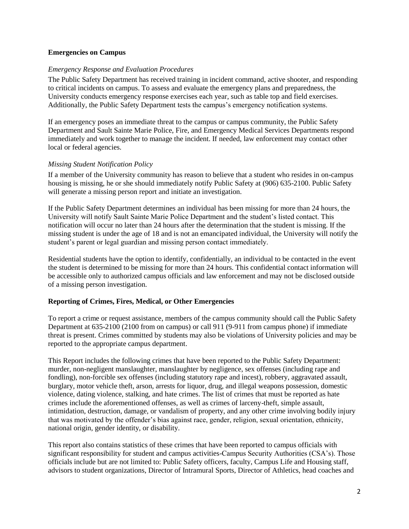#### **Emergencies on Campus**

#### *Emergency Response and Evaluation Procedures*

The Public Safety Department has received training in incident command, active shooter, and responding to critical incidents on campus. To assess and evaluate the emergency plans and preparedness, the University conducts emergency response exercises each year, such as table top and field exercises. Additionally, the Public Safety Department tests the campus's emergency notification systems.

If an emergency poses an immediate threat to the campus or campus community, the Public Safety Department and Sault Sainte Marie Police, Fire, and Emergency Medical Services Departments respond immediately and work together to manage the incident. If needed, law enforcement may contact other local or federal agencies.

#### *Missing Student Notification Policy*

If a member of the University community has reason to believe that a student who resides in on-campus housing is missing, he or she should immediately notify Public Safety at (906) 635-2100. Public Safety will generate a missing person report and initiate an investigation.

If the Public Safety Department determines an individual has been missing for more than 24 hours, the University will notify Sault Sainte Marie Police Department and the student's listed contact. This notification will occur no later than 24 hours after the determination that the student is missing. If the missing student is under the age of 18 and is not an emancipated individual, the University will notify the student's parent or legal guardian and missing person contact immediately.

Residential students have the option to identify, confidentially, an individual to be contacted in the event the student is determined to be missing for more than 24 hours. This confidential contact information will be accessible only to authorized campus officials and law enforcement and may not be disclosed outside of a missing person investigation.

## **Reporting of Crimes, Fires, Medical, or Other Emergencies**

To report a crime or request assistance, members of the campus community should call the Public Safety Department at 635-2100 (2100 from on campus) or call 911 (9-911 from campus phone) if immediate threat is present. Crimes committed by students may also be violations of University policies and may be reported to the appropriate campus department.

This Report includes the following crimes that have been reported to the Public Safety Department: murder, non-negligent manslaughter, manslaughter by negligence, sex offenses (including rape and fondling), non-forcible sex offenses (including statutory rape and incest), robbery, aggravated assault, burglary, motor vehicle theft, arson, arrests for liquor, drug, and illegal weapons possession, domestic violence, dating violence, stalking, and hate crimes. The list of crimes that must be reported as hate crimes include the aforementioned offenses, as well as crimes of larceny-theft, simple assault, intimidation, destruction, damage, or vandalism of property, and any other crime involving bodily injury that was motivated by the offender's bias against race, gender, religion, sexual orientation, ethnicity, national origin, gender identity, or disability.

This report also contains statistics of these crimes that have been reported to campus officials with significant responsibility for student and campus activities-Campus Security Authorities (CSA's). Those officials include but are not limited to: Public Safety officers, faculty, Campus Life and Housing staff, advisors to student organizations, Director of Intramural Sports, Director of Athletics, head coaches and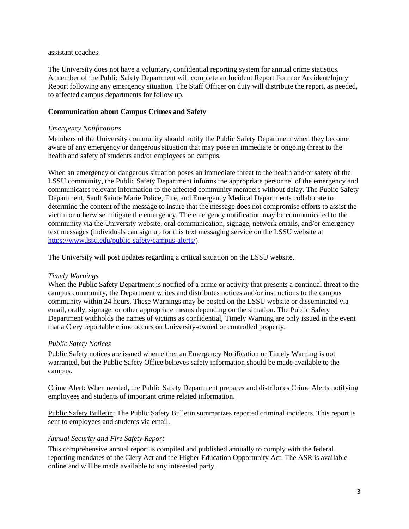#### assistant coaches.

The University does not have a voluntary, confidential reporting system for annual crime statistics. A member of the Public Safety Department will complete an Incident Report Form or Accident/Injury Report following any emergency situation. The Staff Officer on duty will distribute the report, as needed, to affected campus departments for follow up.

## **Communication about Campus Crimes and Safety**

## *Emergency Notifications*

Members of the University community should notify the Public Safety Department when they become aware of any emergency or dangerous situation that may pose an immediate or ongoing threat to the health and safety of students and/or employees on campus.

When an emergency or dangerous situation poses an immediate threat to the health and/or safety of the LSSU community, the Public Safety Department informs the appropriate personnel of the emergency and communicates relevant information to the affected community members without delay. The Public Safety Department, Sault Sainte Marie Police, Fire, and Emergency Medical Departments collaborate to determine the content of the message to insure that the message does not compromise efforts to assist the victim or otherwise mitigate the emergency. The emergency notification may be communicated to the community via the University website, oral communication, signage, network emails, and/or emergency text messages (individuals can sign up for this text messaging service on the LSSU website at [https://www.lssu.edu/public-safety/campus-alerts/\)](https://www.lssu.edu/public-safety/campus-alerts/).

The University will post updates regarding a critical situation on the LSSU website.

# *Timely Warnings*

When the Public Safety Department is notified of a crime or activity that presents a continual threat to the campus community, the Department writes and distributes notices and/or instructions to the campus community within 24 hours. These Warnings may be posted on the LSSU website or disseminated via email, orally, signage, or other appropriate means depending on the situation. The Public Safety Department withholds the names of victims as confidential, Timely Warning are only issued in the event that a Clery reportable crime occurs on University-owned or controlled property.

## *Public Safety Notices*

Public Safety notices are issued when either an Emergency Notification or Timely Warning is not warranted, but the Public Safety Office believes safety information should be made available to the campus.

Crime Alert: When needed, the Public Safety Department prepares and distributes Crime Alerts notifying employees and students of important crime related information.

Public Safety Bulletin: The Public Safety Bulletin summarizes reported criminal incidents. This report is sent to employees and students via email.

## *Annual Security and Fire Safety Report*

This comprehensive annual report is compiled and published annually to comply with the federal reporting mandates of the Clery Act and the Higher Education Opportunity Act. The ASR is available online and will be made available to any interested party.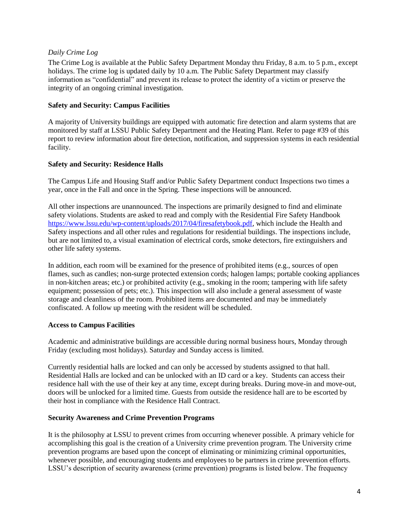## *Daily Crime Log*

The Crime Log is available at the Public Safety Department Monday thru Friday, 8 a.m. to 5 p.m., except holidays. The crime log is updated daily by 10 a.m. The Public Safety Department may classify information as "confidential" and prevent its release to protect the identity of a victim or preserve the integrity of an ongoing criminal investigation.

## **Safety and Security: Campus Facilities**

A majority of University buildings are equipped with automatic fire detection and alarm systems that are monitored by staff at LSSU Public Safety Department and the Heating Plant. Refer to page #39 of this report to review information about fire detection, notification, and suppression systems in each residential facility.

## **Safety and Security: Residence Halls**

The Campus Life and Housing Staff and/or Public Safety Department conduct Inspections two times a year, once in the Fall and once in the Spring. These inspections will be announced.

All other inspections are unannounced. The inspections are primarily designed to find and eliminate safety violations. Students are asked to read and comply with the Residential Fire Safety Handbook [https://www.lssu.edu/wp-content/uploads/2017/04/firesafetybook.pdf,](https://www.lssu.edu/wp-content/uploads/2017/04/firesafetybook.pdf) which include the Health and Safety inspections and all other rules and regulations for residential buildings. The inspections include, but are not limited to, a visual examination of electrical cords, smoke detectors, fire extinguishers and other life safety systems.

In addition, each room will be examined for the presence of prohibited items (e.g., sources of open flames, such as candles; non-surge protected extension cords; halogen lamps; portable cooking appliances in non-kitchen areas; etc.) or prohibited activity (e.g., smoking in the room; tampering with life safety equipment; possession of pets; etc.). This inspection will also include a general assessment of waste storage and cleanliness of the room. Prohibited items are documented and may be immediately confiscated. A follow up meeting with the resident will be scheduled.

# **Access to Campus Facilities**

Academic and administrative buildings are accessible during normal business hours, Monday through Friday (excluding most holidays). Saturday and Sunday access is limited.

Currently residential halls are locked and can only be accessed by students assigned to that hall. Residential Halls are locked and can be unlocked with an ID card or a key. Students can access their residence hall with the use of their key at any time, except during breaks. During move-in and move-out, doors will be unlocked for a limited time. Guests from outside the residence hall are to be escorted by their host in compliance with the Residence Hall Contract.

## **Security Awareness and Crime Prevention Programs**

It is the philosophy at LSSU to prevent crimes from occurring whenever possible. A primary vehicle for accomplishing this goal is the creation of a University crime prevention program. The University crime prevention programs are based upon the concept of eliminating or minimizing criminal opportunities, whenever possible, and encouraging students and employees to be partners in crime prevention efforts. LSSU's description of security awareness (crime prevention) programs is listed below. The frequency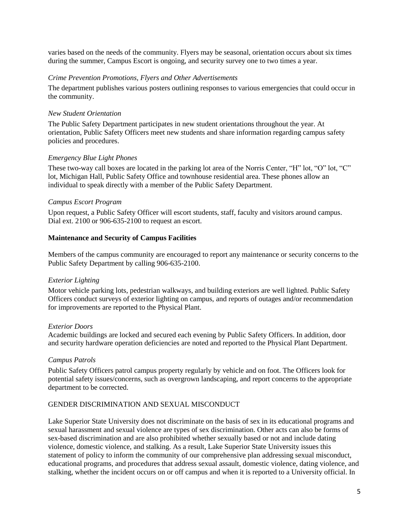varies based on the needs of the community. Flyers may be seasonal, orientation occurs about six times during the summer, Campus Escort is ongoing, and security survey one to two times a year.

#### *Crime Prevention Promotions, Flyers and Other Advertisements*

The department publishes various posters outlining responses to various emergencies that could occur in the community.

#### *New Student Orientation*

The Public Safety Department participates in new student orientations throughout the year. At orientation, Public Safety Officers meet new students and share information regarding campus safety policies and procedures.

## *Emergency Blue Light Phones*

These two-way call boxes are located in the parking lot area of the Norris Center, "H" lot, "O" lot, "C" lot, Michigan Hall, Public Safety Office and townhouse residential area. These phones allow an individual to speak directly with a member of the Public Safety Department.

#### *Campus Escort Program*

Upon request, a Public Safety Officer will escort students, staff, faculty and visitors around campus. Dial ext. 2100 or 906-635-2100 to request an escort.

#### **Maintenance and Security of Campus Facilities**

Members of the campus community are encouraged to report any maintenance or security concerns to the Public Safety Department by calling 906-635-2100.

## *Exterior Lighting*

Motor vehicle parking lots, pedestrian walkways, and building exteriors are well lighted. Public Safety Officers conduct surveys of exterior lighting on campus, and reports of outages and/or recommendation for improvements are reported to the Physical Plant.

#### *Exterior Doors*

Academic buildings are locked and secured each evening by Public Safety Officers. In addition, door and security hardware operation deficiencies are noted and reported to the Physical Plant Department.

## *Campus Patrols*

Public Safety Officers patrol campus property regularly by vehicle and on foot. The Officers look for potential safety issues/concerns, such as overgrown landscaping, and report concerns to the appropriate department to be corrected.

## GENDER DISCRIMINATION AND SEXUAL MISCONDUCT

Lake Superior State University does not discriminate on the basis of sex in its educational programs and sexual harassment and sexual violence are types of sex discrimination. Other acts can also be forms of sex-based discrimination and are also prohibited whether sexually based or not and include dating violence, domestic violence, and stalking. As a result, Lake Superior State University issues this statement of policy to inform the community of our comprehensive plan addressing sexual misconduct, educational programs, and procedures that address sexual assault, domestic violence, dating violence, and stalking, whether the incident occurs on or off campus and when it is reported to a University official. In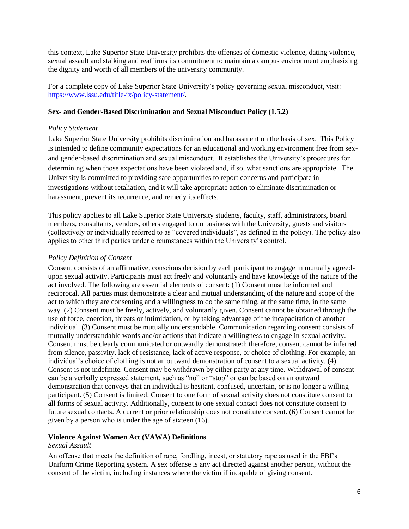this context, Lake Superior State University prohibits the offenses of domestic violence, dating violence, sexual assault and stalking and reaffirms its commitment to maintain a campus environment emphasizing the dignity and worth of all members of the university community.

For a complete copy of Lake Superior State University's policy governing sexual misconduct, visit: [https://www.lssu.edu/title-ix/policy-statement/.](https://www.lssu.edu/title-ix/policy-statement/)

#### **Sex- and Gender-Based Discrimination and Sexual Misconduct Policy (1.5.2)**

#### *Policy Statement*

Lake Superior State University prohibits discrimination and harassment on the basis of sex. This Policy is intended to define community expectations for an educational and working environment free from sexand gender-based discrimination and sexual misconduct. It establishes the University's procedures for determining when those expectations have been violated and, if so, what sanctions are appropriate. The University is committed to providing safe opportunities to report concerns and participate in investigations without retaliation, and it will take appropriate action to eliminate discrimination or harassment, prevent its recurrence, and remedy its effects.

This policy applies to all Lake Superior State University students, faculty, staff, administrators, board members, consultants, vendors, others engaged to do business with the University, guests and visitors (collectively or individually referred to as "covered individuals", as defined in the policy). The policy also applies to other third parties under circumstances within the University's control.

#### *Policy Definition of Consent*

Consent consists of an affirmative, conscious decision by each participant to engage in mutually agreedupon sexual activity. Participants must act freely and voluntarily and have knowledge of the nature of the act involved. The following are essential elements of consent: (1) Consent must be informed and reciprocal*.* All parties must demonstrate a clear and mutual understanding of the nature and scope of the act to which they are consenting and a willingness to do the same thing, at the same time, in the same way. (2) Consent must be freely, actively, and voluntarily given*.* Consent cannot be obtained through the use of force, coercion, threats or intimidation, or by taking advantage of the incapacitation of another individual. (3) Consent must be mutually understandable*.* Communication regarding consent consists of mutually understandable words and/or actions that indicate a willingness to engage in sexual activity. Consent must be clearly communicated or outwardly demonstrated; therefore, consent cannot be inferred from silence, passivity, lack of resistance, lack of active response, or choice of clothing. For example, an individual's choice of clothing is not an outward demonstration of consent to a sexual activity. (4) Consent is not indefinite*.* Consent may be withdrawn by either party at any time. Withdrawal of consent can be a verbally expressed statement, such as "no" or "stop" or can be based on an outward demonstration that conveys that an individual is hesitant, confused, uncertain, or is no longer a willing participant. (5) Consent is limited. Consent to one form of sexual activity does not constitute consent to all forms of sexual activity. Additionally, consent to one sexual contact does not constitute consent to future sexual contacts. A current or prior relationship does not constitute consent. (6) Consent cannot be given by a person who is under the age of sixteen (16).

#### **Violence Against Women Act (VAWA) Definitions**

#### *Sexual Assault*

An offense that meets the definition of rape, fondling, incest, or statutory rape as used in the FBI's Uniform Crime Reporting system. A sex offense is any act directed against another person, without the consent of the victim, including instances where the victim if incapable of giving consent.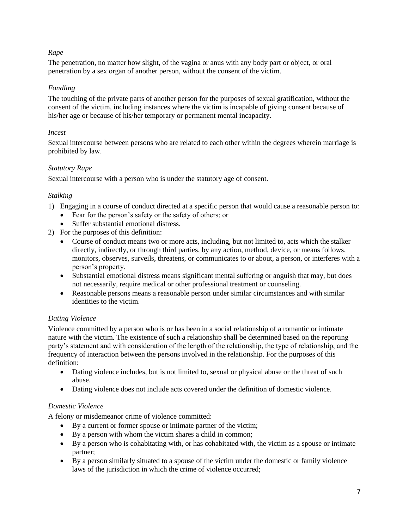## *Rape*

The penetration, no matter how slight, of the vagina or anus with any body part or object, or oral penetration by a sex organ of another person, without the consent of the victim.

# *Fondling*

The touching of the private parts of another person for the purposes of sexual gratification, without the consent of the victim, including instances where the victim is incapable of giving consent because of his/her age or because of his/her temporary or permanent mental incapacity.

## *Incest*

Sexual intercourse between persons who are related to each other within the degrees wherein marriage is prohibited by law.

## *Statutory Rape*

Sexual intercourse with a person who is under the statutory age of consent.

## *Stalking*

- 1) Engaging in a course of conduct directed at a specific person that would cause a reasonable person to:
	- Fear for the person's safety or the safety of others; or
	- Suffer substantial emotional distress.
- 2) For the purposes of this definition:
	- Course of conduct means two or more acts, including, but not limited to, acts which the stalker directly, indirectly, or through third parties, by any action, method, device, or means follows, monitors, observes, surveils, threatens, or communicates to or about, a person, or interferes with a person's property.
	- Substantial emotional distress means significant mental suffering or anguish that may, but does not necessarily, require medical or other professional treatment or counseling.
	- Reasonable persons means a reasonable person under similar circumstances and with similar identities to the victim.

# *Dating Violence*

Violence committed by a person who is or has been in a social relationship of a romantic or intimate nature with the victim. The existence of such a relationship shall be determined based on the reporting party's statement and with consideration of the length of the relationship, the type of relationship, and the frequency of interaction between the persons involved in the relationship. For the purposes of this definition:

- Dating violence includes, but is not limited to, sexual or physical abuse or the threat of such abuse.
- Dating violence does not include acts covered under the definition of domestic violence.

# *Domestic Violence*

A felony or misdemeanor crime of violence committed:

- By a current or former spouse or intimate partner of the victim;
- By a person with whom the victim shares a child in common;
- By a person who is cohabitating with, or has cohabitated with, the victim as a spouse or intimate partner;
- By a person similarly situated to a spouse of the victim under the domestic or family violence laws of the jurisdiction in which the crime of violence occurred;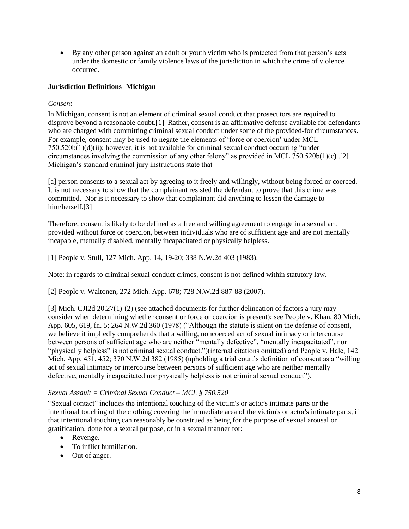By any other person against an adult or youth victim who is protected from that person's acts under the domestic or family violence laws of the jurisdiction in which the crime of violence occurred.

## **Jurisdiction Definitions- Michigan**

## *Consent*

In Michigan, consent is not an element of criminal sexual conduct that prosecutors are required to disprove beyond a reasonable doubt.[1] Rather, consent is an affirmative defense available for defendants who are charged with committing criminal sexual conduct under some of the provided-for circumstances. For example, consent may be used to negate the elements of 'force or coercion' under MCL 750.520b(1)(d)(ii); however, it is not available for criminal sexual conduct occurring "under circumstances involving the commission of any other felony" as provided in MCL 750.520b(1)(c) .[2] Michigan's standard criminal jury instructions state that

[a] person consents to a sexual act by agreeing to it freely and willingly, without being forced or coerced. It is not necessary to show that the complainant resisted the defendant to prove that this crime was committed. Nor is it necessary to show that complainant did anything to lessen the damage to him/herself.[3]

Therefore, consent is likely to be defined as a free and willing agreement to engage in a sexual act, provided without force or coercion, between individuals who are of sufficient age and are not mentally incapable, mentally disabled, mentally incapacitated or physically helpless.

[1] People v. Stull, 127 Mich. App. 14, 19-20; 338 N.W.2d 403 (1983).

Note: in regards to criminal sexual conduct crimes, consent is not defined within statutory law.

[2] People v. Waltonen, 272 Mich. App. 678; 728 N.W.2d 887-88 (2007).

[3] Mich. CJI2d 20.27(1)-(2) (see attached documents for further delineation of factors a jury may consider when determining whether consent or force or coercion is present); see People v. Khan, 80 Mich. App. 605, 619, fn. 5; 264 N.W.2d 360 (1978) ("Although the statute is silent on the defense of consent, we believe it impliedly comprehends that a willing, noncoerced act of sexual intimacy or intercourse between persons of sufficient age who are neither "mentally defective", "mentally incapacitated", nor "physically helpless" is not criminal sexual conduct.")(internal citations omitted) and People v. Hale, 142 Mich. App. 451, 452; 370 N.W.2d 382 (1985) (upholding a trial court's definition of consent as a "willing act of sexual intimacy or intercourse between persons of sufficient age who are neither mentally defective, mentally incapacitated nor physically helpless is not criminal sexual conduct").

# *Sexual Assault = Criminal Sexual Conduct – MCL § 750.520*

"Sexual contact" includes the intentional touching of the victim's or actor's intimate parts or the intentional touching of the clothing covering the immediate area of the victim's or actor's intimate parts, if that intentional touching can reasonably be construed as being for the purpose of sexual arousal or gratification, done for a sexual purpose, or in a sexual manner for:

- Revenge.
- To inflict humiliation.
- Out of anger.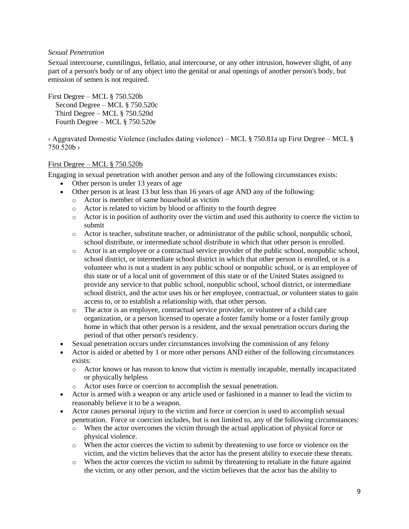## *Sexual Penetration*

Sexual intercourse, cunnilingus, fellatio, anal intercourse, or any other intrusion, however slight, of any part of a person's body or of any object into the genital or anal openings of another person's body, but emission of semen is not required.

First Degree – MCL § 750.520b Second Degree – MCL § 750.520c Third Degree – MCL § 750.520d Fourth Degree – MCL § 750.520e

 $\triangle$  Aggravated Domestic Violence (includes dating violence) – MCL § 750.81a up First Degree – MCL §  $750.520b$ 

## First Degree – MCL § 750.520b

Engaging in sexual penetration with another person and any of the following circumstances exists:

- Other person is under 13 years of age
- Other person is at least 13 but less than 16 years of age AND any of the following:
	- o Actor is member of same household as victim
	- o Actor is related to victim by blood or affinity to the fourth degree
	- o Actor is in position of authority over the victim and used this authority to coerce the victim to submit
	- o Actor is teacher, substitute teacher, or administrator of the public school, nonpublic school, school distribute, or intermediate school distribute in which that other person is enrolled.
	- o Actor is an employee or a contractual service provider of the public school, nonpublic school, school district, or intermediate school district in which that other person is enrolled, or is a volunteer who is not a student in any public school or nonpublic school, or is an employee of this state or of a local unit of government of this state or of the United States assigned to provide any service to that public school, nonpublic school, school district, or intermediate school district, and the actor uses his or her employee, contractual, or volunteer status to gain access to, or to establish a relationship with, that other person.
	- o The actor is an employee, contractual service provider, or volunteer of a child care organization, or a person licensed to operate a foster family home or a foster family group home in which that other person is a resident, and the sexual penetration occurs during the period of that other person's residency.
- Sexual penetration occurs under circumstances involving the commission of any felony
- Actor is aided or abetted by 1 or more other persons AND either of the following circumstances exists:
	- $\circ$  Actor knows or has reason to know that victim is mentally incapable, mentally incapacitated or physically helpless
	- o Actor uses force or coercion to accomplish the sexual penetration.
- Actor is armed with a weapon or any article used or fashioned in a manner to lead the victim to reasonably believe it to be a weapon.
- Actor causes personal injury to the victim and force or coercion is used to accomplish sexual penetration. Force or coercion includes, but is not limited to, any of the following circumstances:
	- o When the actor overcomes the victim through the actual application of physical force or physical violence.
	- $\circ$  When the actor coerces the victim to submit by threatening to use force or violence on the victim, and the victim believes that the actor has the present ability to execute these threats.
	- $\circ$  When the actor coerces the victim to submit by threatening to retaliate in the future against the victim, or any other person, and the victim believes that the actor has the ability to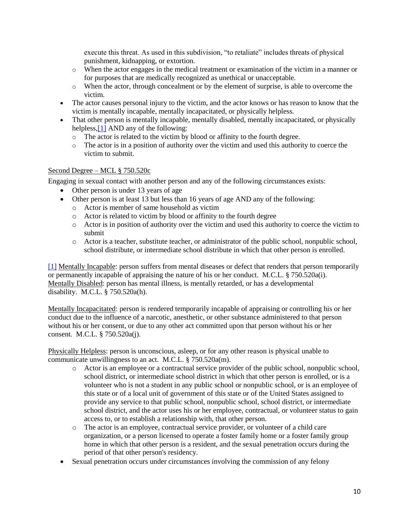execute this threat. As used in this subdivision, "to retaliate" includes threats of physical punishment, kidnapping, or extortion.

- o When the actor engages in the medical treatment or examination of the victim in a manner or for purposes that are medically recognized as unethical or unacceptable.
- $\circ$  When the actor, through concealment or by the element of surprise, is able to overcome the victim.
- The actor causes personal injury to the victim, and the actor knows or has reason to know that the victim is mentally incapable, mentally incapacitated, or physically helpless.
- That other person is mentally incapable, mentally disabled, mentally incapacitated, or physically helpless, [1] AND any of the following:
	- o The actor is related to the victim by blood or affinity to the fourth degree.
	- o The actor is in a position of authority over the victim and used this authority to coerce the victim to submit.

## Second Degree – MCL § 750.520c

Engaging in sexual contact with another person and any of the following circumstances exists:

- Other person is under 13 years of age
- Other person is at least 13 but less than 16 years of age AND any of the following:
	- o Actor is member of same household as victim
	- o Actor is related to victim by blood or affinity to the fourth degree
	- o Actor is in position of authority over the victim and used this authority to coerce the victim to submit
	- o Actor is a teacher, substitute teacher, or administrator of the public school, nonpublic school, school distribute, or intermediate school distribute in which that other person is enrolled.

[\[1\]](http://studentsexualmisconductpolicy.umich.edu/content/first-degree-%E2%80%93-mcl-%C2%A7-750520b#_ftnref1) Mentally Incapable: person suffers from mental diseases or defect that renders that person temporarily or permanently incapable of appraising the nature of his or her conduct. M.C.L. § 750.520a(i). Mentally Disabled: person has mental illness, is mentally retarded, or has a developmental disability. M.C.L. § 750.520a(h).

Mentally Incapacitated: person is rendered temporarily incapable of appraising or controlling his or her conduct due to the influence of a narcotic, anesthetic, or other substance administered to that person without his or her consent, or due to any other act committed upon that person without his or her consent. M.C.L. § 750.520a(j).

Physically Helpless: person is unconscious, asleep, or for any other reason is physical unable to communicate unwillingness to an act. M.C.L. § 750.520a(m).

- o Actor is an employee or a contractual service provider of the public school, nonpublic school, school district, or intermediate school district in which that other person is enrolled, or is a volunteer who is not a student in any public school or nonpublic school, or is an employee of this state or of a local unit of government of this state or of the United States assigned to provide any service to that public school, nonpublic school, school district, or intermediate school district, and the actor uses his or her employee, contractual, or volunteer status to gain access to, or to establish a relationship with, that other person.
- o The actor is an employee, contractual service provider, or volunteer of a child care organization, or a person licensed to operate a foster family home or a foster family group home in which that other person is a resident, and the sexual penetration occurs during the period of that other person's residency.
- Sexual penetration occurs under circumstances involving the commission of any felony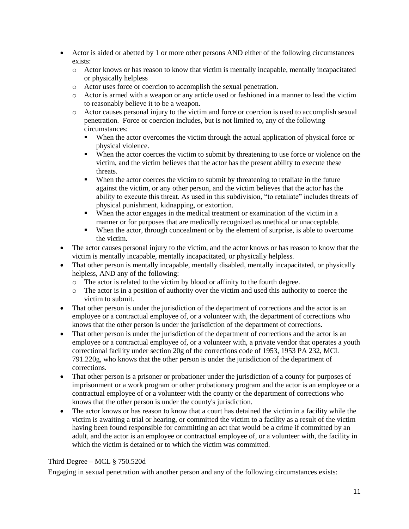- Actor is aided or abetted by 1 or more other persons AND either of the following circumstances exists:
	- o Actor knows or has reason to know that victim is mentally incapable, mentally incapacitated or physically helpless
	- o Actor uses force or coercion to accomplish the sexual penetration.
	- o Actor is armed with a weapon or any article used or fashioned in a manner to lead the victim to reasonably believe it to be a weapon.
	- o Actor causes personal injury to the victim and force or coercion is used to accomplish sexual penetration. Force or coercion includes, but is not limited to, any of the following circumstances:
		- When the actor overcomes the victim through the actual application of physical force or physical violence.
		- When the actor coerces the victim to submit by threatening to use force or violence on the victim, and the victim believes that the actor has the present ability to execute these threats.
		- When the actor coerces the victim to submit by threatening to retaliate in the future against the victim, or any other person, and the victim believes that the actor has the ability to execute this threat. As used in this subdivision, "to retaliate" includes threats of physical punishment, kidnapping, or extortion.
		- When the actor engages in the medical treatment or examination of the victim in a manner or for purposes that are medically recognized as unethical or unacceptable.
		- When the actor, through concealment or by the element of surprise, is able to overcome the victim.
- The actor causes personal injury to the victim, and the actor knows or has reason to know that the victim is mentally incapable, mentally incapacitated, or physically helpless.
- That other person is mentally incapable, mentally disabled, mentally incapacitated, or physically helpless, AND any of the following:
	- o The actor is related to the victim by blood or affinity to the fourth degree.
	- o The actor is in a position of authority over the victim and used this authority to coerce the victim to submit.
- That other person is under the jurisdiction of the department of corrections and the actor is an employee or a contractual employee of, or a volunteer with, the department of corrections who knows that the other person is under the jurisdiction of the department of corrections.
- That other person is under the jurisdiction of the department of corrections and the actor is an employee or a contractual employee of, or a volunteer with, a private vendor that operates a youth correctional facility under section 20g of the corrections code of 1953, 1953 PA 232, MCL 791.220g, who knows that the other person is under the jurisdiction of the department of corrections.
- That other person is a prisoner or probationer under the jurisdiction of a county for purposes of imprisonment or a work program or other probationary program and the actor is an employee or a contractual employee of or a volunteer with the county or the department of corrections who knows that the other person is under the county's jurisdiction.
- The actor knows or has reason to know that a court has detained the victim in a facility while the victim is awaiting a trial or hearing, or committed the victim to a facility as a result of the victim having been found responsible for committing an act that would be a crime if committed by an adult, and the actor is an employee or contractual employee of, or a volunteer with, the facility in which the victim is detained or to which the victim was committed.

# Third Degree – MCL § 750.520d

Engaging in sexual penetration with another person and any of the following circumstances exists: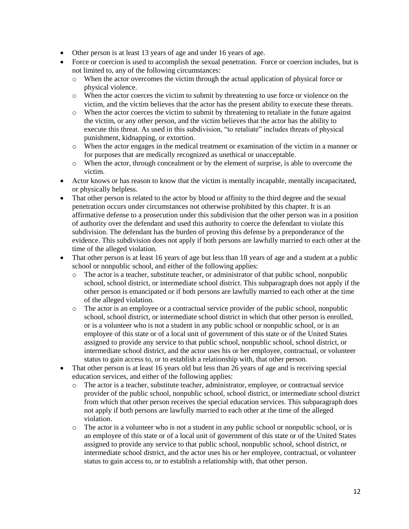- Other person is at least 13 years of age and under 16 years of age.
- Force or coercion is used to accomplish the sexual penetration. Force or coercion includes, but is not limited to, any of the following circumstances:
	- o When the actor overcomes the victim through the actual application of physical force or physical violence.
	- o When the actor coerces the victim to submit by threatening to use force or violence on the victim, and the victim believes that the actor has the present ability to execute these threats.
	- $\circ$  When the actor coerces the victim to submit by threatening to retaliate in the future against the victim, or any other person, and the victim believes that the actor has the ability to execute this threat. As used in this subdivision, "to retaliate" includes threats of physical punishment, kidnapping, or extortion.
	- o When the actor engages in the medical treatment or examination of the victim in a manner or for purposes that are medically recognized as unethical or unacceptable.
	- o When the actor, through concealment or by the element of surprise, is able to overcome the victim.
- Actor knows or has reason to know that the victim is mentally incapable, mentally incapacitated, or physically helpless.
- That other person is related to the actor by blood or affinity to the third degree and the sexual penetration occurs under circumstances not otherwise prohibited by this chapter. It is an affirmative defense to a prosecution under this subdivision that the other person was in a position of authority over the defendant and used this authority to coerce the defendant to violate this subdivision. The defendant has the burden of proving this defense by a preponderance of the evidence. This subdivision does not apply if both persons are lawfully married to each other at the time of the alleged violation.
- That other person is at least 16 years of age but less than 18 years of age and a student at a public school or nonpublic school, and either of the following applies:
	- $\circ$  The actor is a teacher, substitute teacher, or administrator of that public school, nonpublic school, school district, or intermediate school district. This subparagraph does not apply if the other person is emancipated or if both persons are lawfully married to each other at the time of the alleged violation.
	- o The actor is an employee or a contractual service provider of the public school, nonpublic school, school district, or intermediate school district in which that other person is enrolled, or is a volunteer who is not a student in any public school or nonpublic school, or is an employee of this state or of a local unit of government of this state or of the United States assigned to provide any service to that public school, nonpublic school, school district, or intermediate school district, and the actor uses his or her employee, contractual, or volunteer status to gain access to, or to establish a relationship with, that other person.
- That other person is at least 16 years old but less than 26 years of age and is receiving special education services, and either of the following applies:
	- o The actor is a teacher, substitute teacher, administrator, employee, or contractual service provider of the public school, nonpublic school, school district, or intermediate school district from which that other person receives the special education services. This subparagraph does not apply if both persons are lawfully married to each other at the time of the alleged violation.
	- o The actor is a volunteer who is not a student in any public school or nonpublic school, or is an employee of this state or of a local unit of government of this state or of the United States assigned to provide any service to that public school, nonpublic school, school district, or intermediate school district, and the actor uses his or her employee, contractual, or volunteer status to gain access to, or to establish a relationship with, that other person.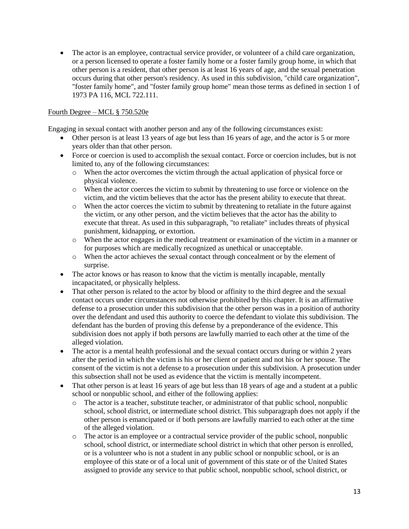The actor is an employee, contractual service provider, or volunteer of a child care organization, or a person licensed to operate a foster family home or a foster family group home, in which that other person is a resident, that other person is at least 16 years of age, and the sexual penetration occurs during that other person's residency. As used in this subdivision, "child care organization", "foster family home", and "foster family group home" mean those terms as defined in section 1 of 1973 PA 116, MCL 722.111.

## Fourth Degree – MCL § 750.520e

Engaging in sexual contact with another person and any of the following circumstances exist:

- Other person is at least 13 years of age but less than 16 years of age, and the actor is 5 or more years older than that other person.
- Force or coercion is used to accomplish the sexual contact. Force or coercion includes, but is not limited to, any of the following circumstances:
	- o When the actor overcomes the victim through the actual application of physical force or physical violence.
	- o When the actor coerces the victim to submit by threatening to use force or violence on the victim, and the victim believes that the actor has the present ability to execute that threat.
	- o When the actor coerces the victim to submit by threatening to retaliate in the future against the victim, or any other person, and the victim believes that the actor has the ability to execute that threat. As used in this subparagraph, "to retaliate" includes threats of physical punishment, kidnapping, or extortion.
	- o When the actor engages in the medical treatment or examination of the victim in a manner or for purposes which are medically recognized as unethical or unacceptable.
	- o When the actor achieves the sexual contact through concealment or by the element of surprise.
- The actor knows or has reason to know that the victim is mentally incapable, mentally incapacitated, or physically helpless.
- That other person is related to the actor by blood or affinity to the third degree and the sexual contact occurs under circumstances not otherwise prohibited by this chapter. It is an affirmative defense to a prosecution under this subdivision that the other person was in a position of authority over the defendant and used this authority to coerce the defendant to violate this subdivision. The defendant has the burden of proving this defense by a preponderance of the evidence. This subdivision does not apply if both persons are lawfully married to each other at the time of the alleged violation.
- The actor is a mental health professional and the sexual contact occurs during or within 2 years after the period in which the victim is his or her client or patient and not his or her spouse. The consent of the victim is not a defense to a prosecution under this subdivision. A prosecution under this subsection shall not be used as evidence that the victim is mentally incompetent.
- That other person is at least 16 years of age but less than 18 years of age and a student at a public school or nonpublic school, and either of the following applies:
	- $\circ$  The actor is a teacher, substitute teacher, or administrator of that public school, nonpublic school, school district, or intermediate school district. This subparagraph does not apply if the other person is emancipated or if both persons are lawfully married to each other at the time of the alleged violation.
	- o The actor is an employee or a contractual service provider of the public school, nonpublic school, school district, or intermediate school district in which that other person is enrolled, or is a volunteer who is not a student in any public school or nonpublic school, or is an employee of this state or of a local unit of government of this state or of the United States assigned to provide any service to that public school, nonpublic school, school district, or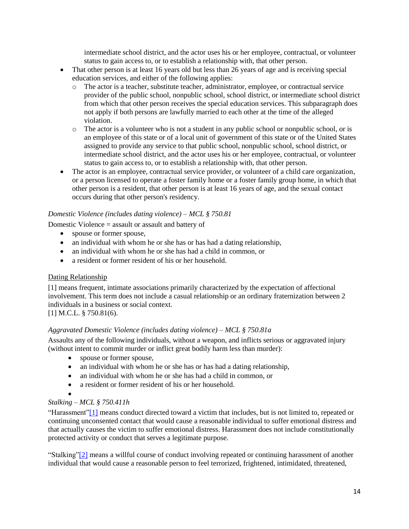intermediate school district, and the actor uses his or her employee, contractual, or volunteer status to gain access to, or to establish a relationship with, that other person.

- That other person is at least 16 years old but less than 26 years of age and is receiving special education services, and either of the following applies:
	- o The actor is a teacher, substitute teacher, administrator, employee, or contractual service provider of the public school, nonpublic school, school district, or intermediate school district from which that other person receives the special education services. This subparagraph does not apply if both persons are lawfully married to each other at the time of the alleged violation.
	- o The actor is a volunteer who is not a student in any public school or nonpublic school, or is an employee of this state or of a local unit of government of this state or of the United States assigned to provide any service to that public school, nonpublic school, school district, or intermediate school district, and the actor uses his or her employee, contractual, or volunteer status to gain access to, or to establish a relationship with, that other person.
- The actor is an employee, contractual service provider, or volunteer of a child care organization, or a person licensed to operate a foster family home or a foster family group home, in which that other person is a resident, that other person is at least 16 years of age, and the sexual contact occurs during that other person's residency.

## *Domestic Violence (includes dating violence) – MCL § 750.81*

Domestic Violence = assault or assault and battery of

- spouse or former spouse,
- an individual with whom he or she has or has had a dating relationship,
- an individual with whom he or she has had a child in common, or
- a resident or former resident of his or her household.

## Dating Relationship

[1] means frequent, intimate associations primarily characterized by the expectation of affectional involvement. This term does not include a casual relationship or an ordinary fraternization between 2 individuals in a business or social context.

[1] M.C.L. § 750.81(6).

## *Aggravated Domestic Violence (includes dating violence) – MCL § 750.81a*

Assaults any of the following individuals, without a weapon, and inflicts serious or aggravated injury (without intent to commit murder or inflict great bodily harm less than murder):

- spouse or former spouse,
- an individual with whom he or she has or has had a dating relationship,
- an individual with whom he or she has had a child in common, or
- a resident or former resident of his or her household.
- $\bullet$

# *Stalking – MCL § 750.411h*

"Harassment"<sup>[1]</sup> means conduct directed toward a victim that includes, but is not limited to, repeated or continuing unconsented contact that would cause a reasonable individual to suffer emotional distress and that actually causes the victim to suffer emotional distress. Harassment does not include constitutionally protected activity or conduct that serves a legitimate purpose.

"Stalking["\[2\]](http://studentsexualmisconductpolicy.umich.edu/content/stalking-%E2%80%93-mcl-%C2%A7-750411h#_ftn2) means a willful course of conduct involving repeated or continuing harassment of another individual that would cause a reasonable person to feel terrorized, frightened, intimidated, threatened,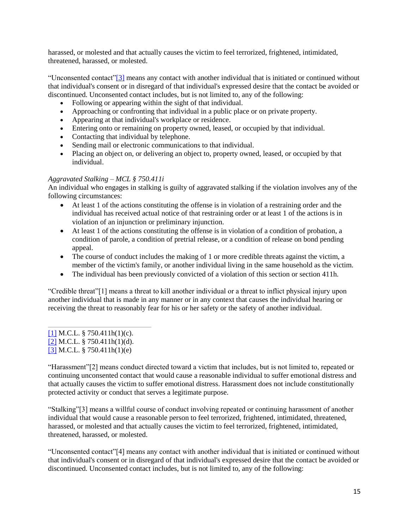harassed, or molested and that actually causes the victim to feel terrorized, frightened, intimidated, threatened, harassed, or molested.

"Unconsented contact["\[3\]](http://studentsexualmisconductpolicy.umich.edu/content/stalking-%E2%80%93-mcl-%C2%A7-750411h#_ftn3) means any contact with another individual that is initiated or continued without that individual's consent or in disregard of that individual's expressed desire that the contact be avoided or discontinued. Unconsented contact includes, but is not limited to, any of the following:

- Following or appearing within the sight of that individual.
- Approaching or confronting that individual in a public place or on private property.
- Appearing at that individual's workplace or residence.
- Entering onto or remaining on property owned, leased, or occupied by that individual.
- Contacting that individual by telephone.
- Sending mail or electronic communications to that individual.
- Placing an object on, or delivering an object to, property owned, leased, or occupied by that individual.

## *Aggravated Stalking – MCL § 750.411i*

An individual who engages in stalking is guilty of aggravated stalking if the violation involves any of the following circumstances:

- At least 1 of the actions constituting the offense is in violation of a restraining order and the individual has received actual notice of that restraining order or at least 1 of the actions is in violation of an injunction or preliminary injunction.
- At least 1 of the actions constituting the offense is in violation of a condition of probation, a condition of parole, a condition of pretrial release, or a condition of release on bond pending appeal.
- The course of conduct includes the making of 1 or more credible threats against the victim, a member of the victim's family, or another individual living in the same household as the victim.
- The individual has been previously convicted of a violation of this section or section 411h.

"Credible threat"[1] means a threat to kill another individual or a threat to inflict physical injury upon another individual that is made in any manner or in any context that causes the individual hearing or receiving the threat to reasonably fear for his or her safety or the safety of another individual.

- $[1]$  M.C.L. § 750.411h(1)(c).
- [\[2\]](http://studentsexualmisconductpolicy.umich.edu/content/stalking-%E2%80%93-mcl-%C2%A7-750411h#_ftnref2) M.C.L. § 750.411 $h(1)(d)$ .
- [\[3\]](http://studentsexualmisconductpolicy.umich.edu/content/stalking-%E2%80%93-mcl-%C2%A7-750411h#_ftnref3) M.C.L. § 750.411h(1)(e)

"Harassment"[2] means conduct directed toward a victim that includes, but is not limited to, repeated or continuing unconsented contact that would cause a reasonable individual to suffer emotional distress and that actually causes the victim to suffer emotional distress. Harassment does not include constitutionally protected activity or conduct that serves a legitimate purpose.

"Stalking"[3] means a willful course of conduct involving repeated or continuing harassment of another individual that would cause a reasonable person to feel terrorized, frightened, intimidated, threatened, harassed, or molested and that actually causes the victim to feel terrorized, frightened, intimidated, threatened, harassed, or molested.

"Unconsented contact"[4] means any contact with another individual that is initiated or continued without that individual's consent or in disregard of that individual's expressed desire that the contact be avoided or discontinued. Unconsented contact includes, but is not limited to, any of the following: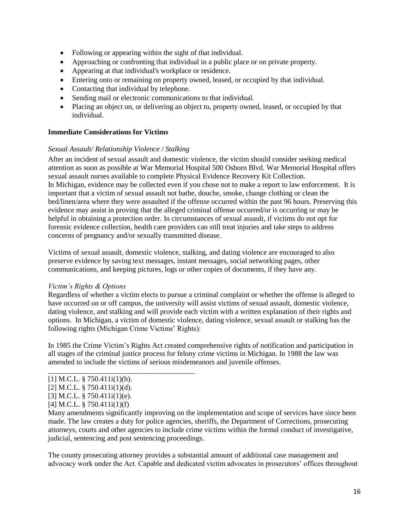- Following or appearing within the sight of that individual.
- Approaching or confronting that individual in a public place or on private property.
- Appearing at that individual's workplace or residence.
- Entering onto or remaining on property owned, leased, or occupied by that individual.
- Contacting that individual by telephone.
- Sending mail or electronic communications to that individual.
- Placing an object on, or delivering an object to, property owned, leased, or occupied by that individual.

## **Immediate Considerations for Victims**

## *Sexual Assault/ Relationship Violence / Stalking*

After an incident of sexual assault and domestic violence, the victim should consider seeking medical attention as soon as possible at War Memorial Hospital 500 Osborn Blvd. War Memorial Hospital offers sexual assault nurses available to complete Physical Evidence Recovery Kit Collection. In Michigan, evidence may be collected even if you chose not to make a report to law enforcement. It is important that a victim of sexual assault not bathe, douche, smoke, change clothing or clean the bed/linen/area where they were assaulted if the offense occurred within the past 96 hours. Preserving this evidence may assist in proving that the alleged criminal offense occurred/or is occurring or may be helpful in obtaining a protection order. In circumstances of sexual assault, if victims do not opt for forensic evidence collection, health care providers can still treat injuries and take steps to address concerns of pregnancy and/or sexually transmitted disease.

Victims of sexual assault, domestic violence, stalking, and dating violence are encouraged to also preserve evidence by saving text messages, instant messages, social networking pages, other communications, and keeping pictures, logs or other copies of documents, if they have any.

## *Victim's Rights & Options*

Regardless of whether a victim elects to pursue a criminal complaint or whether the offense is alleged to have occurred on or off campus, the university will assist victims of sexual assault, domestic violence, dating violence, and stalking and will provide each victim with a written explanation of their rights and options. In Michigan, a victim of domestic violence, dating violence, sexual assault or stalking has the following rights (Michigan Crime Victims' Rights):

In 1985 the Crime Victim's Rights Act created comprehensive rights of notification and participation in all stages of the criminal justice process for felony crime victims in Michigan. In 1988 the law was amended to include the victims of serious misdemeanors and juvenile offenses.

\_\_\_\_\_\_\_\_\_\_\_\_\_\_\_\_\_\_\_\_\_\_\_\_\_\_\_\_\_\_\_\_\_\_\_\_\_\_\_\_

Many amendments significantly improving on the implementation and scope of services have since been made. The law creates a duty for police agencies, sheriffs, the Department of Corrections, prosecuting attorneys, courts and other agencies to include crime victims within the formal conduct of investigative, judicial, sentencing and post sentencing proceedings.

The county prosecuting attorney provides a substantial amount of additional case management and advocacy work under the Act. Capable and dedicated victim advocates in prosecutors' offices throughout

<sup>[1]</sup> M.C.L. § 750.411i(1)(b).

<sup>[2]</sup> M.C.L. § 750.411i(1)(d).

<sup>[3]</sup> M.C.L. § 750.411i(1)(e).

<sup>[4]</sup> M.C.L. § 750.411i(1)(f)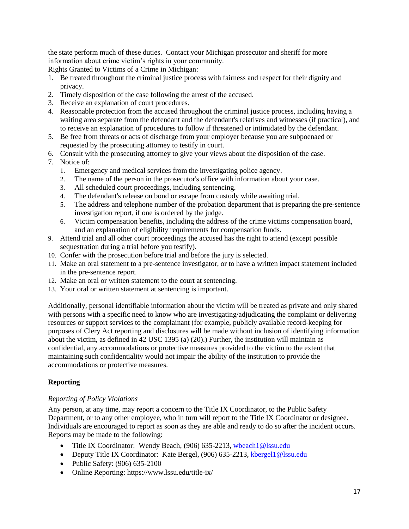the state perform much of these duties. Contact your Michigan prosecutor and sheriff for more information about crime victim's rights in your community.

Rights Granted to Victims of a Crime in Michigan:

- 1. Be treated throughout the criminal justice process with fairness and respect for their dignity and privacy.
- 2. Timely disposition of the case following the arrest of the accused.
- 3. Receive an explanation of court procedures.
- 4. Reasonable protection from the accused throughout the criminal justice process, including having a waiting area separate from the defendant and the defendant's relatives and witnesses (if practical), and to receive an explanation of procedures to follow if threatened or intimidated by the defendant.
- 5. Be free from threats or acts of discharge from your employer because you are subpoenaed or requested by the prosecuting attorney to testify in court.
- 6. Consult with the prosecuting attorney to give your views about the disposition of the case.
- 7. Notice of:
	- 1. Emergency and medical services from the investigating police agency.
	- 2. The name of the person in the prosecutor's office with information about your case.
	- 3. All scheduled court proceedings, including sentencing.
	- 4. The defendant's release on bond or escape from custody while awaiting trial.
	- 5. The address and telephone number of the probation department that is preparing the pre-sentence investigation report, if one is ordered by the judge.
	- 6. Victim compensation benefits, including the address of the crime victims compensation board, and an explanation of eligibility requirements for compensation funds.
- 9. Attend trial and all other court proceedings the accused has the right to attend (except possible sequestration during a trial before you testify).
- 10. Confer with the prosecution before trial and before the jury is selected.
- 11. Make an oral statement to a pre-sentence investigator, or to have a written impact statement included in the pre-sentence report.
- 12. Make an oral or written statement to the court at sentencing.
- 13. Your oral or written statement at sentencing is important.

Additionally, personal identifiable information about the victim will be treated as private and only shared with persons with a specific need to know who are investigating/adjudicating the complaint or delivering resources or support services to the complainant (for example, publicly available record-keeping for purposes of Clery Act reporting and disclosures will be made without inclusion of identifying information about the victim, as defined in 42 USC 1395 (a) (20).) Further, the institution will maintain as confidential, any accommodations or protective measures provided to the victim to the extent that maintaining such confidentiality would not impair the ability of the institution to provide the accommodations or protective measures.

# **Reporting**

## *Reporting of Policy Violations*

Any person, at any time, may report a concern to the Title IX Coordinator, to the Public Safety Department, or to any other employee, who in turn will report to the Title IX Coordinator or designee. Individuals are encouraged to report as soon as they are able and ready to do so after the incident occurs. Reports may be made to the following:

- Title IX Coordinator: Wendy Beach, (906) 635-2213, [wbeach1@lssu.edu](mailto:wbeach1@lssu.edu)
- Deputy Title IX Coordinator: Kate Bergel, (906) 635-2213, [kbergel1@lssu.edu](mailto:kbergel1@lssu.edu)
- Public Safety:  $(906) 635-2100$
- Online Reporting: https://www.lssu.edu/title-ix/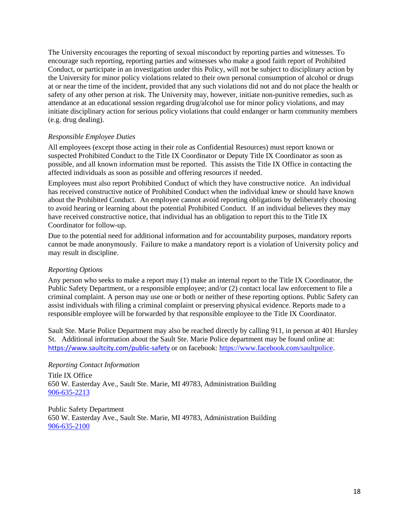The University encourages the reporting of sexual misconduct by reporting parties and witnesses. To encourage such reporting, reporting parties and witnesses who make a good faith report of Prohibited Conduct, or participate in an investigation under this Policy, will not be subject to disciplinary action by the University for minor policy violations related to their own personal consumption of alcohol or drugs at or near the time of the incident, provided that any such violations did not and do not place the health or safety of any other person at risk. The University may, however, initiate non-punitive remedies, such as attendance at an educational session regarding drug/alcohol use for minor policy violations, and may initiate disciplinary action for serious policy violations that could endanger or harm community members (e.g. drug dealing).

## *Responsible Employee Duties*

All employees (except those acting in their role as Confidential Resources) must report known or suspected Prohibited Conduct to the Title IX Coordinator or Deputy Title IX Coordinator as soon as possible, and all known information must be reported. This assists the Title IX Office in contacting the affected individuals as soon as possible and offering resources if needed.

Employees must also report Prohibited Conduct of which they have constructive notice. An individual has received constructive notice of Prohibited Conduct when the individual knew or should have known about the Prohibited Conduct. An employee cannot avoid reporting obligations by deliberately choosing to avoid hearing or learning about the potential Prohibited Conduct. If an individual believes they may have received constructive notice, that individual has an obligation to report this to the Title IX Coordinator for follow-up.

Due to the potential need for additional information and for accountability purposes, mandatory reports cannot be made anonymously. Failure to make a mandatory report is a violation of University policy and may result in discipline.

## *Reporting Options*

Any person who seeks to make a report may (1) make an internal report to the Title IX Coordinator, the Public Safety Department, or a responsible employee; and/or (2) contact local law enforcement to file a criminal complaint. A person may use one or both or neither of these reporting options. Public Safety can assist individuals with filing a criminal complaint or preserving physical evidence. Reports made to a responsible employee will be forwarded by that responsible employee to the Title IX Coordinator.

Sault Ste. Marie Police Department may also be reached directly by calling 911, in person at 401 Hursley St. Additional information about the Sault Ste. Marie Police department may be found online at: <https://www.saultcity.com/public-safety> or on facebook: [https://www.facebook.com/saultpolice.](https://www.facebook.com/saultpolice)

*Reporting Contact Information* Title IX Office 650 W. Easterday Ave., Sault Ste. Marie, MI 49783, Administration Building [906-635-2213](tel:906-635-2213)

Public Safety Department 650 W. Easterday Ave., Sault Ste. Marie, MI 49783, Administration Building 906-635-2100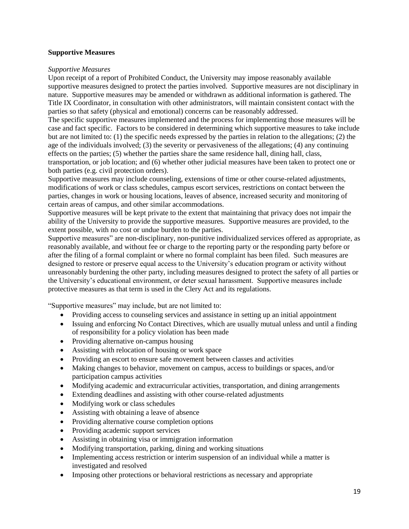#### **Supportive Measures**

#### *Supportive Measures*

Upon receipt of a report of Prohibited Conduct, the University may impose reasonably available supportive measures designed to protect the parties involved. Supportive measures are not disciplinary in nature. Supportive measures may be amended or withdrawn as additional information is gathered. The Title IX Coordinator, in consultation with other administrators, will maintain consistent contact with the parties so that safety (physical and emotional) concerns can be reasonably addressed.

The specific supportive measures implemented and the process for implementing those measures will be case and fact specific. Factors to be considered in determining which supportive measures to take include but are not limited to: (1) the specific needs expressed by the parties in relation to the allegations; (2) the age of the individuals involved; (3) the severity or pervasiveness of the allegations; (4) any continuing effects on the parties; (5) whether the parties share the same residence hall, dining hall, class, transportation, or job location; and (6) whether other judicial measures have been taken to protect one or both parties (e.g. civil protection orders).

Supportive measures may include counseling, extensions of time or other course-related adjustments, modifications of work or class schedules, campus escort services, restrictions on contact between the parties, changes in work or housing locations, leaves of absence, increased security and monitoring of certain areas of campus, and other similar accommodations.

Supportive measures will be kept private to the extent that maintaining that privacy does not impair the ability of the University to provide the supportive measures. Supportive measures are provided, to the extent possible, with no cost or undue burden to the parties.

Supportive measures" are non-disciplinary, non-punitive individualized services offered as appropriate, as reasonably available, and without fee or charge to the reporting party or the responding party before or after the filing of a formal complaint or where no formal complaint has been filed. Such measures are designed to restore or preserve equal access to the University's education program or activity without unreasonably burdening the other party, including measures designed to protect the safety of all parties or the University's educational environment, or deter sexual harassment. Supportive measures include protective measures as that term is used in the Clery Act and its regulations.

"Supportive measures" may include, but are not limited to:

- Providing access to counseling services and assistance in setting up an initial appointment
- Issuing and enforcing No Contact Directives, which are usually mutual unless and until a finding of responsibility for a policy violation has been made
- Providing alternative on-campus housing
- Assisting with relocation of housing or work space
- Providing an escort to ensure safe movement between classes and activities
- Making changes to behavior, movement on campus, access to buildings or spaces, and/or participation campus activities
- Modifying academic and extracurricular activities, transportation, and dining arrangements
- Extending deadlines and assisting with other course-related adjustments
- Modifying work or class schedules
- Assisting with obtaining a leave of absence
- Providing alternative course completion options
- Providing academic support services
- Assisting in obtaining visa or immigration information
- Modifying transportation, parking, dining and working situations
- Implementing access restriction or interim suspension of an individual while a matter is investigated and resolved
- Imposing other protections or behavioral restrictions as necessary and appropriate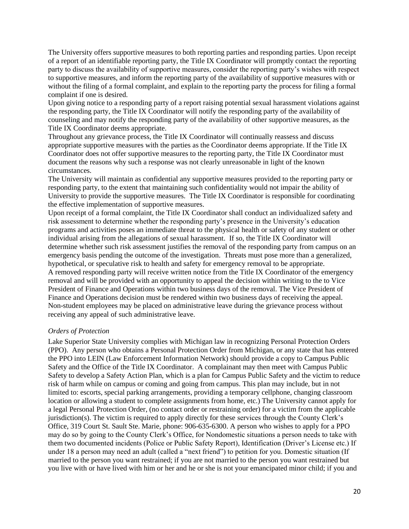The University offers supportive measures to both reporting parties and responding parties. Upon receipt of a report of an identifiable reporting party, the Title IX Coordinator will promptly contact the reporting party to discuss the availability of supportive measures, consider the reporting party's wishes with respect to supportive measures, and inform the reporting party of the availability of supportive measures with or without the filing of a formal complaint, and explain to the reporting party the process for filing a formal complaint if one is desired.

Upon giving notice to a responding party of a report raising potential sexual harassment violations against the responding party, the Title IX Coordinator will notify the responding party of the availability of counseling and may notify the responding party of the availability of other supportive measures, as the Title IX Coordinator deems appropriate.

Throughout any grievance process, the Title IX Coordinator will continually reassess and discuss appropriate supportive measures with the parties as the Coordinator deems appropriate. If the Title IX Coordinator does not offer supportive measures to the reporting party, the Title IX Coordinator must document the reasons why such a response was not clearly unreasonable in light of the known circumstances.

The University will maintain as confidential any supportive measures provided to the reporting party or responding party, to the extent that maintaining such confidentiality would not impair the ability of University to provide the supportive measures. The Title IX Coordinator is responsible for coordinating the effective implementation of supportive measures.

Upon receipt of a formal complaint, the Title IX Coordinator shall conduct an individualized safety and risk assessment to determine whether the responding party's presence in the University's education programs and activities poses an immediate threat to the physical health or safety of any student or other individual arising from the allegations of sexual harassment. If so, the Title IX Coordinator will determine whether such risk assessment justifies the removal of the responding party from campus on an emergency basis pending the outcome of the investigation. Threats must pose more than a generalized, hypothetical, or speculative risk to health and safety for emergency removal to be appropriate. A removed responding party will receive written notice from the Title IX Coordinator of the emergency removal and will be provided with an opportunity to appeal the decision within writing to the to Vice President of Finance and Operations within two business days of the removal. The Vice President of Finance and Operations decision must be rendered within two business days of receiving the appeal. Non-student employees may be placed on administrative leave during the grievance process without receiving any appeal of such administrative leave.

## *Orders of Protection*

Lake Superior State University complies with Michigan law in recognizing Personal Protection Orders (PPO). Any person who obtains a Personal Protection Order from Michigan, or any state that has entered the PPO into LEIN (Law Enforcement Information Network) should provide a copy to Campus Public Safety and the Office of the Title IX Coordinator. A complainant may then meet with Campus Public Safety to develop a Safety Action Plan, which is a plan for Campus Public Safety and the victim to reduce risk of harm while on campus or coming and going from campus. This plan may include, but in not limited to: escorts, special parking arrangements, providing a temporary cellphone, changing classroom location or allowing a student to complete assignments from home, etc.) The University cannot apply for a legal Personal Protection Order, (no contact order or restraining order) for a victim from the applicable jurisdiction(s). The victim is required to apply directly for these services through the County Clerk's Office, 319 Court St. Sault Ste. Marie, phone: 906-635-6300. A person who wishes to apply for a PPO may do so by going to the County Clerk's Office, for Nondomestic situations a person needs to take with them two documented incidents (Police or Public Safety Report), Identification (Driver's License etc.) If under 18 a person may need an adult (called a "next friend") to petition for you. Domestic situation (If married to the person you want restrained; if you are not married to the person you want restrained but you live with or have lived with him or her and he or she is not your emancipated minor child; if you and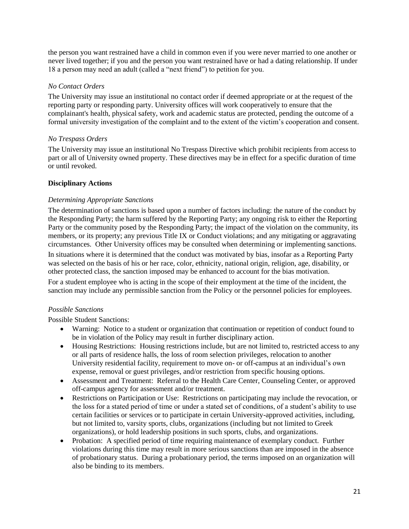the person you want restrained have a child in common even if you were never married to one another or never lived together; if you and the person you want restrained have or had a dating relationship. If under 18 a person may need an adult (called a "next friend") to petition for you.

## *No Contact Orders*

The University may issue an institutional no contact order if deemed appropriate or at the request of the reporting party or responding party. University offices will work cooperatively to ensure that the complainant's health, physical safety, work and academic status are protected, pending the outcome of a formal university investigation of the complaint and to the extent of the victim's cooperation and consent.

## *No Trespass Orders*

The University may issue an institutional No Trespass Directive which prohibit recipients from access to part or all of University owned property. These directives may be in effect for a specific duration of time or until revoked.

## **Disciplinary Actions**

## *Determining Appropriate Sanctions*

The determination of sanctions is based upon a number of factors including: the nature of the conduct by the Responding Party; the harm suffered by the Reporting Party; any ongoing risk to either the Reporting Party or the community posed by the Responding Party; the impact of the violation on the community, its members, or its property; any previous Title IX or Conduct violations; and any mitigating or aggravating circumstances. Other University offices may be consulted when determining or implementing sanctions.

In situations where it is determined that the conduct was motivated by bias, insofar as a Reporting Party was selected on the basis of his or her race, color, ethnicity, national origin, religion, age, disability, or other protected class, the sanction imposed may be enhanced to account for the bias motivation.

For a student employee who is acting in the scope of their employment at the time of the incident, the sanction may include any permissible sanction from the Policy or the personnel policies for employees.

# *Possible Sanctions*

Possible Student Sanctions:

- Warning: Notice to a student or organization that continuation or repetition of conduct found to be in violation of the Policy may result in further disciplinary action.
- Housing Restrictions: Housing restrictions include, but are not limited to, restricted access to any or all parts of residence halls, the loss of room selection privileges, relocation to another University residential facility, requirement to move on- or off-campus at an individual's own expense, removal or guest privileges, and/or restriction from specific housing options.
- Assessment and Treatment: Referral to the Health Care Center, Counseling Center, or approved off-campus agency for assessment and/or treatment.
- Restrictions on Participation or Use: Restrictions on participating may include the revocation, or the loss for a stated period of time or under a stated set of conditions, of a student's ability to use certain facilities or services or to participate in certain University-approved activities, including, but not limited to, varsity sports, clubs, organizations (including but not limited to Greek organizations), or hold leadership positions in such sports, clubs, and organizations.
- Probation: A specified period of time requiring maintenance of exemplary conduct. Further violations during this time may result in more serious sanctions than are imposed in the absence of probationary status. During a probationary period, the terms imposed on an organization will also be binding to its members.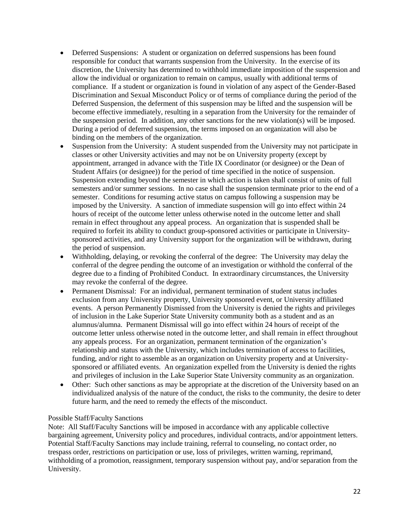- Deferred Suspensions: A student or organization on deferred suspensions has been found responsible for conduct that warrants suspension from the University. In the exercise of its discretion, the University has determined to withhold immediate imposition of the suspension and allow the individual or organization to remain on campus, usually with additional terms of compliance. If a student or organization is found in violation of any aspect of the Gender-Based Discrimination and Sexual Misconduct Policy or of terms of compliance during the period of the Deferred Suspension, the deferment of this suspension may be lifted and the suspension will be become effective immediately, resulting in a separation from the University for the remainder of the suspension period. In addition, any other sanctions for the new violation(s) will be imposed. During a period of deferred suspension, the terms imposed on an organization will also be binding on the members of the organization.
- Suspension from the University: A student suspended from the University may not participate in classes or other University activities and may not be on University property (except by appointment, arranged in advance with the Title IX Coordinator (or designee) or the Dean of Student Affairs (or designee)) for the period of time specified in the notice of suspension. Suspension extending beyond the semester in which action is taken shall consist of units of full semesters and/or summer sessions. In no case shall the suspension terminate prior to the end of a semester. Conditions for resuming active status on campus following a suspension may be imposed by the University. A sanction of immediate suspension will go into effect within 24 hours of receipt of the outcome letter unless otherwise noted in the outcome letter and shall remain in effect throughout any appeal process. An organization that is suspended shall be required to forfeit its ability to conduct group-sponsored activities or participate in Universitysponsored activities, and any University support for the organization will be withdrawn, during the period of suspension.
- Withholding, delaying, or revoking the conferral of the degree: The University may delay the conferral of the degree pending the outcome of an investigation or withhold the conferral of the degree due to a finding of Prohibited Conduct. In extraordinary circumstances, the University may revoke the conferral of the degree.
- Permanent Dismissal: For an individual, permanent termination of student status includes exclusion from any University property, University sponsored event, or University affiliated events. A person Permanently Dismissed from the University is denied the rights and privileges of inclusion in the Lake Superior State University community both as a student and as an alumnus/alumna. Permanent Dismissal will go into effect within 24 hours of receipt of the outcome letter unless otherwise noted in the outcome letter, and shall remain in effect throughout any appeals process. For an organization, permanent termination of the organization's relationship and status with the University, which includes termination of access to facilities, funding, and/or right to assemble as an organization on University property and at Universitysponsored or affiliated events. An organization expelled from the University is denied the rights and privileges of inclusion in the Lake Superior State University community as an organization.
- Other: Such other sanctions as may be appropriate at the discretion of the University based on an individualized analysis of the nature of the conduct, the risks to the community, the desire to deter future harm, and the need to remedy the effects of the misconduct.

## Possible Staff/Faculty Sanctions

Note: All Staff/Faculty Sanctions will be imposed in accordance with any applicable collective bargaining agreement, University policy and procedures, individual contracts, and/or appointment letters. Potential Staff/Faculty Sanctions may include training, referral to counseling, no contact order, no trespass order, restrictions on participation or use, loss of privileges, written warning, reprimand, withholding of a promotion, reassignment, temporary suspension without pay, and/or separation from the University.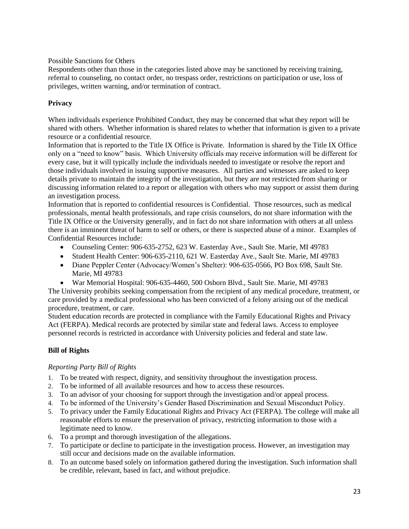Possible Sanctions for Others

Respondents other than those in the categories listed above may be sanctioned by receiving training, referral to counseling, no contact order, no trespass order, restrictions on participation or use, loss of privileges, written warning, and/or termination of contract.

# **Privacy**

When individuals experience Prohibited Conduct, they may be concerned that what they report will be shared with others. Whether information is shared relates to whether that information is given to a private resource or a confidential resource.

Information that is reported to the Title IX Office is Private. Information is shared by the Title IX Office only on a "need to know" basis. Which University officials may receive information will be different for every case, but it will typically include the individuals needed to investigate or resolve the report and those individuals involved in issuing supportive measures. All parties and witnesses are asked to keep details private to maintain the integrity of the investigation, but they are not restricted from sharing or discussing information related to a report or allegation with others who may support or assist them during an investigation process.

Information that is reported to confidential resources is Confidential. Those resources, such as medical professionals, mental health professionals, and rape crisis counselors, do not share information with the Title IX Office or the University generally, and in fact do not share information with others at all unless there is an imminent threat of harm to self or others, or there is suspected abuse of a minor. Examples of Confidential Resources include:

- Counseling Center: 906-635-2752, 623 W. Easterday Ave., Sault Ste. Marie, MI 49783
- Student Health Center: 906-635-2110, 621 W. Easterday Ave., Sault Ste. Marie, MI 49783
- Diane Peppler Center (Advocacy/Women's Shelter): 906-635-0566, PO Box 698, Sault Ste. Marie, MI 49783
- War Memorial Hospital: 906-635-4460, 500 Osborn Blvd., Sault Ste. Marie, MI 49783

The University prohibits seeking compensation from the recipient of any medical procedure, treatment, or care provided by a medical professional who has been convicted of a felony arising out of the medical procedure, treatment, or care.

Student education records are protected in compliance with the Family Educational Rights and Privacy Act (FERPA). Medical records are protected by similar state and federal laws. Access to employee personnel records is restricted in accordance with University policies and federal and state law.

# **Bill of Rights**

# *Reporting Party Bill of Rights*

- 1. To be treated with respect, dignity, and sensitivity throughout the investigation process.
- 2. To be informed of all available resources and how to access these resources.
- 3. To an advisor of your choosing for support through the investigation and/or appeal process.
- 4. To be informed of the University's Gender Based Discrimination and Sexual Misconduct Policy.
- 5. To privacy under the Family Educational Rights and Privacy Act (FERPA). The college will make all reasonable efforts to ensure the preservation of privacy, restricting information to those with a legitimate need to know.
- 6. To a prompt and thorough investigation of the allegations.
- 7. To participate or decline to participate in the investigation process. However, an investigation may still occur and decisions made on the available information.
- 8. To an outcome based solely on information gathered during the investigation. Such information shall be credible, relevant, based in fact, and without prejudice.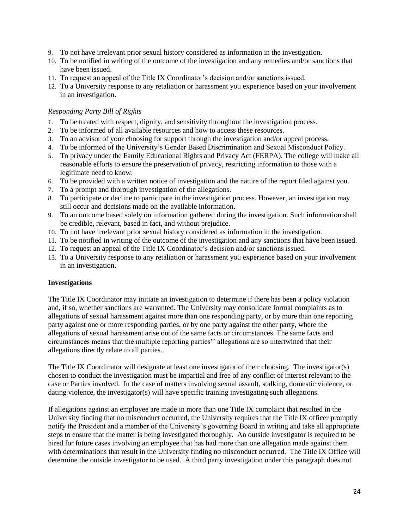- 9. To not have irrelevant prior sexual history considered as information in the investigation.
- 10. To be notified in writing of the outcome of the investigation and any remedies and/or sanctions that have been issued.
- 11. To request an appeal of the Title IX Coordinator's decision and/or sanctions issued.
- 12. To a University response to any retaliation or harassment you experience based on your involvement in an investigation.

#### *Responding Party Bill of Rights*

- 1. To be treated with respect, dignity, and sensitivity throughout the investigation process.
- 2. To be informed of all available resources and how to access these resources.
- 3. To an advisor of your choosing for support through the investigation and/or appeal process.
- 4. To be informed of the University's Gender Based Discrimination and Sexual Misconduct Policy.
- 5. To privacy under the Family Educational Rights and Privacy Act (FERPA). The college will make all reasonable efforts to ensure the preservation of privacy, restricting information to those with a legitimate need to know.
- 6. To be provided with a written notice of investigation and the nature of the report filed against you.
- 7. To a prompt and thorough investigation of the allegations.
- 8. To participate or decline to participate in the investigation process. However, an investigation may still occur and decisions made on the available information.
- 9. To an outcome based solely on information gathered during the investigation. Such information shall be credible, relevant, based in fact, and without prejudice.
- 10. To not have irrelevant prior sexual history considered as information in the investigation.
- 11. To be notified in writing of the outcome of the investigation and any sanctions that have been issued.
- 12. To request an appeal of the Title IX Coordinator's decision and/or sanctions issued.
- 13. To a University response to any retaliation or harassment you experience based on your involvement in an investigation.

## **Investigations**

The Title IX Coordinator may initiate an investigation to determine if there has been a policy violation and, if so, whether sanctions are warranted. The University may consolidate formal complaints as to allegations of sexual harassment against more than one responding party, or by more than one reporting party against one or more responding parties, or by one party against the other party, where the allegations of sexual harassment arise out of the same facts or circumstances. The same facts and circumstances means that the multiple reporting parties'' allegations are so intertwined that their allegations directly relate to all parties.

The Title IX Coordinator will designate at least one investigator of their choosing. The investigator(s) chosen to conduct the investigation must be impartial and free of any conflict of interest relevant to the case or Parties involved. In the case of matters involving sexual assault, stalking, domestic violence, or dating violence, the investigator(s) will have specific training investigating such allegations.

If allegations against an employee are made in more than one Title IX complaint that resulted in the University finding that no misconduct occurred, the University requires that the Title IX officer promptly notify the President and a member of the University's governing Board in writing and take all appropriate steps to ensure that the matter is being investigated thoroughly. An outside investigator is required to be hired for future cases involving an employee that has had more than one allegation made against them with determinations that result in the University finding no misconduct occurred. The Title IX Office will determine the outside investigator to be used. A third party investigation under this paragraph does not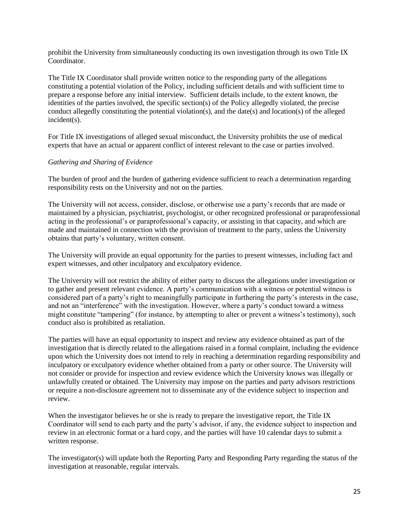prohibit the University from simultaneously conducting its own investigation through its own Title IX Coordinator.

The Title IX Coordinator shall provide written notice to the responding party of the allegations constituting a potential violation of the Policy, including sufficient details and with sufficient time to prepare a response before any initial interview. Sufficient details include, to the extent known, the identities of the parties involved, the specific section(s) of the Policy allegedly violated, the precise conduct allegedly constituting the potential violation(s), and the date(s) and location(s) of the alleged incident(s).

For Title IX investigations of alleged sexual misconduct, the University prohibits the use of medical experts that have an actual or apparent conflict of interest relevant to the case or parties involved.

## *Gathering and Sharing of Evidence*

The burden of proof and the burden of gathering evidence sufficient to reach a determination regarding responsibility rests on the University and not on the parties.

The University will not access, consider, disclose, or otherwise use a party's records that are made or maintained by a physician, psychiatrist, psychologist, or other recognized professional or paraprofessional acting in the professional's or paraprofessional's capacity, or assisting in that capacity, and which are made and maintained in connection with the provision of treatment to the party, unless the University obtains that party's voluntary, written consent.

The University will provide an equal opportunity for the parties to present witnesses, including fact and expert witnesses, and other inculpatory and exculpatory evidence.

The University will not restrict the ability of either party to discuss the allegations under investigation or to gather and present relevant evidence. A party's communication with a witness or potential witness is considered part of a party's right to meaningfully participate in furthering the party's interests in the case, and not an "interference" with the investigation. However, where a party's conduct toward a witness might constitute "tampering" (for instance, by attempting to alter or prevent a witness's testimony), such conduct also is prohibited as retaliation.

The parties will have an equal opportunity to inspect and review any evidence obtained as part of the investigation that is directly related to the allegations raised in a formal complaint, including the evidence upon which the University does not intend to rely in reaching a determination regarding responsibility and inculpatory or exculpatory evidence whether obtained from a party or other source. The University will not consider or provide for inspection and review evidence which the University knows was illegally or unlawfully created or obtained. The University may impose on the parties and party advisors restrictions or require a non-disclosure agreement not to disseminate any of the evidence subject to inspection and review.

When the investigator believes he or she is ready to prepare the investigative report, the Title IX Coordinator will send to each party and the party's advisor, if any, the evidence subject to inspection and review in an electronic format or a hard copy, and the parties will have 10 calendar days to submit a written response.

The investigator(s) will update both the Reporting Party and Responding Party regarding the status of the investigation at reasonable, regular intervals.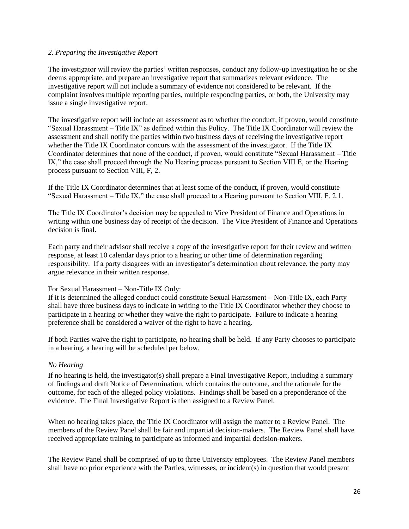#### *2. Preparing the Investigative Report*

The investigator will review the parties' written responses, conduct any follow-up investigation he or she deems appropriate, and prepare an investigative report that summarizes relevant evidence. The investigative report will not include a summary of evidence not considered to be relevant. If the complaint involves multiple reporting parties, multiple responding parties, or both, the University may issue a single investigative report.

The investigative report will include an assessment as to whether the conduct, if proven, would constitute "Sexual Harassment – Title IX" as defined within this Policy. The Title IX Coordinator will review the assessment and shall notify the parties within two business days of receiving the investigative report whether the Title IX Coordinator concurs with the assessment of the investigator. If the Title IX Coordinator determines that none of the conduct, if proven, would constitute "Sexual Harassment – Title IX," the case shall proceed through the No Hearing process pursuant to Section VIII E, or the Hearing process pursuant to Section VIII, F, 2.

If the Title IX Coordinator determines that at least some of the conduct, if proven, would constitute "Sexual Harassment – Title IX," the case shall proceed to a Hearing pursuant to Section VIII,  $F, 2.1$ .

The Title IX Coordinator's decision may be appealed to Vice President of Finance and Operations in writing within one business day of receipt of the decision. The Vice President of Finance and Operations decision is final.

Each party and their advisor shall receive a copy of the investigative report for their review and written response, at least 10 calendar days prior to a hearing or other time of determination regarding responsibility. If a party disagrees with an investigator's determination about relevance, the party may argue relevance in their written response.

#### For Sexual Harassment – Non-Title IX Only:

If it is determined the alleged conduct could constitute Sexual Harassment – Non-Title IX, each Party shall have three business days to indicate in writing to the Title IX Coordinator whether they choose to participate in a hearing or whether they waive the right to participate. Failure to indicate a hearing preference shall be considered a waiver of the right to have a hearing.

If both Parties waive the right to participate, no hearing shall be held. If any Party chooses to participate in a hearing, a hearing will be scheduled per below.

#### *No Hearing*

If no hearing is held, the investigator(s) shall prepare a Final Investigative Report, including a summary of findings and draft Notice of Determination, which contains the outcome, and the rationale for the outcome, for each of the alleged policy violations. Findings shall be based on a preponderance of the evidence. The Final Investigative Report is then assigned to a Review Panel.

When no hearing takes place, the Title IX Coordinator will assign the matter to a Review Panel. The members of the Review Panel shall be fair and impartial decision-makers. The Review Panel shall have received appropriate training to participate as informed and impartial decision-makers.

The Review Panel shall be comprised of up to three University employees. The Review Panel members shall have no prior experience with the Parties, witnesses, or incident(s) in question that would present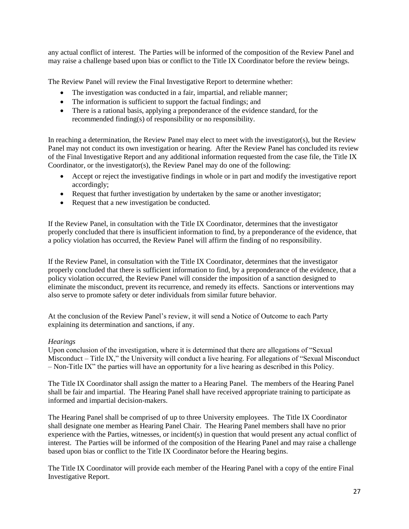any actual conflict of interest. The Parties will be informed of the composition of the Review Panel and may raise a challenge based upon bias or conflict to the Title IX Coordinator before the review beings.

The Review Panel will review the Final Investigative Report to determine whether:

- The investigation was conducted in a fair, impartial, and reliable manner;
- The information is sufficient to support the factual findings; and
- There is a rational basis, applying a preponderance of the evidence standard, for the recommended finding(s) of responsibility or no responsibility.

In reaching a determination, the Review Panel may elect to meet with the investigator(s), but the Review Panel may not conduct its own investigation or hearing. After the Review Panel has concluded its review of the Final Investigative Report and any additional information requested from the case file, the Title IX Coordinator, or the investigator(s), the Review Panel may do one of the following:

- Accept or reject the investigative findings in whole or in part and modify the investigative report accordingly;
- Request that further investigation by undertaken by the same or another investigator;
- Request that a new investigation be conducted.

If the Review Panel, in consultation with the Title IX Coordinator, determines that the investigator properly concluded that there is insufficient information to find, by a preponderance of the evidence, that a policy violation has occurred, the Review Panel will affirm the finding of no responsibility.

If the Review Panel, in consultation with the Title IX Coordinator, determines that the investigator properly concluded that there is sufficient information to find, by a preponderance of the evidence, that a policy violation occurred, the Review Panel will consider the imposition of a sanction designed to eliminate the misconduct, prevent its recurrence, and remedy its effects. Sanctions or interventions may also serve to promote safety or deter individuals from similar future behavior.

At the conclusion of the Review Panel's review, it will send a Notice of Outcome to each Party explaining its determination and sanctions, if any.

## *Hearings*

Upon conclusion of the investigation, where it is determined that there are allegations of "Sexual Misconduct – Title IX," the University will conduct a live hearing. For allegations of "Sexual Misconduct – Non-Title IX" the parties will have an opportunity for a live hearing as described in this Policy.

The Title IX Coordinator shall assign the matter to a Hearing Panel. The members of the Hearing Panel shall be fair and impartial. The Hearing Panel shall have received appropriate training to participate as informed and impartial decision-makers.

The Hearing Panel shall be comprised of up to three University employees. The Title IX Coordinator shall designate one member as Hearing Panel Chair. The Hearing Panel members shall have no prior experience with the Parties, witnesses, or incident(s) in question that would present any actual conflict of interest. The Parties will be informed of the composition of the Hearing Panel and may raise a challenge based upon bias or conflict to the Title IX Coordinator before the Hearing begins.

The Title IX Coordinator will provide each member of the Hearing Panel with a copy of the entire Final Investigative Report.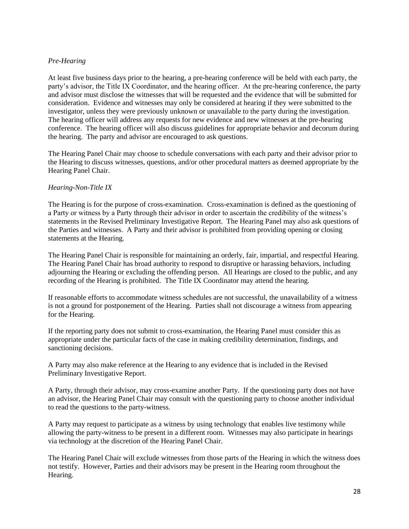## *Pre-Hearing*

At least five business days prior to the hearing, a pre-hearing conference will be held with each party, the party's advisor, the Title IX Coordinator, and the hearing officer. At the pre-hearing conference, the party and advisor must disclose the witnesses that will be requested and the evidence that will be submitted for consideration. Evidence and witnesses may only be considered at hearing if they were submitted to the investigator, unless they were previously unknown or unavailable to the party during the investigation. The hearing officer will address any requests for new evidence and new witnesses at the pre-hearing conference. The hearing officer will also discuss guidelines for appropriate behavior and decorum during the hearing. The party and advisor are encouraged to ask questions.

The Hearing Panel Chair may choose to schedule conversations with each party and their advisor prior to the Hearing to discuss witnesses, questions, and/or other procedural matters as deemed appropriate by the Hearing Panel Chair.

## *Hearing-Non-Title IX*

The Hearing is for the purpose of cross-examination. Cross-examination is defined as the questioning of a Party or witness by a Party through their advisor in order to ascertain the credibility of the witness's statements in the Revised Preliminary Investigative Report. The Hearing Panel may also ask questions of the Parties and witnesses. A Party and their advisor is prohibited from providing opening or closing statements at the Hearing.

The Hearing Panel Chair is responsible for maintaining an orderly, fair, impartial, and respectful Hearing. The Hearing Panel Chair has broad authority to respond to disruptive or harassing behaviors, including adjourning the Hearing or excluding the offending person. All Hearings are closed to the public, and any recording of the Hearing is prohibited. The Title IX Coordinator may attend the hearing.

If reasonable efforts to accommodate witness schedules are not successful, the unavailability of a witness is not a ground for postponement of the Hearing. Parties shall not discourage a witness from appearing for the Hearing.

If the reporting party does not submit to cross-examination, the Hearing Panel must consider this as appropriate under the particular facts of the case in making credibility determination, findings, and sanctioning decisions.

A Party may also make reference at the Hearing to any evidence that is included in the Revised Preliminary Investigative Report.

A Party, through their advisor, may cross-examine another Party. If the questioning party does not have an advisor, the Hearing Panel Chair may consult with the questioning party to choose another individual to read the questions to the party-witness.

A Party may request to participate as a witness by using technology that enables live testimony while allowing the party-witness to be present in a different room. Witnesses may also participate in hearings via technology at the discretion of the Hearing Panel Chair.

The Hearing Panel Chair will exclude witnesses from those parts of the Hearing in which the witness does not testify. However, Parties and their advisors may be present in the Hearing room throughout the Hearing.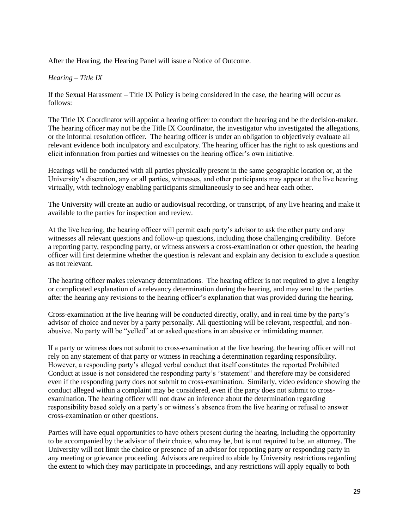After the Hearing, the Hearing Panel will issue a Notice of Outcome.

## *Hearing – Title IX*

If the Sexual Harassment – Title IX Policy is being considered in the case, the hearing will occur as follows:

The Title IX Coordinator will appoint a hearing officer to conduct the hearing and be the decision-maker. The hearing officer may not be the Title IX Coordinator, the investigator who investigated the allegations, or the informal resolution officer. The hearing officer is under an obligation to objectively evaluate all relevant evidence both inculpatory and exculpatory. The hearing officer has the right to ask questions and elicit information from parties and witnesses on the hearing officer's own initiative.

Hearings will be conducted with all parties physically present in the same geographic location or, at the University's discretion, any or all parties, witnesses, and other participants may appear at the live hearing virtually, with technology enabling participants simultaneously to see and hear each other.

The University will create an audio or audiovisual recording, or transcript, of any live hearing and make it available to the parties for inspection and review.

At the live hearing, the hearing officer will permit each party's advisor to ask the other party and any witnesses all relevant questions and follow-up questions, including those challenging credibility. Before a reporting party, responding party, or witness answers a cross-examination or other question, the hearing officer will first determine whether the question is relevant and explain any decision to exclude a question as not relevant.

The hearing officer makes relevancy determinations. The hearing officer is not required to give a lengthy or complicated explanation of a relevancy determination during the hearing, and may send to the parties after the hearing any revisions to the hearing officer's explanation that was provided during the hearing.

Cross-examination at the live hearing will be conducted directly, orally, and in real time by the party's advisor of choice and never by a party personally. All questioning will be relevant, respectful, and nonabusive. No party will be "yelled" at or asked questions in an abusive or intimidating manner.

If a party or witness does not submit to cross-examination at the live hearing, the hearing officer will not rely on any statement of that party or witness in reaching a determination regarding responsibility. However, a responding party's alleged verbal conduct that itself constitutes the reported Prohibited Conduct at issue is not considered the responding party's "statement" and therefore may be considered even if the responding party does not submit to cross-examination. Similarly, video evidence showing the conduct alleged within a complaint may be considered, even if the party does not submit to crossexamination. The hearing officer will not draw an inference about the determination regarding responsibility based solely on a party's or witness's absence from the live hearing or refusal to answer cross-examination or other questions.

Parties will have equal opportunities to have others present during the hearing, including the opportunity to be accompanied by the advisor of their choice, who may be, but is not required to be, an attorney. The University will not limit the choice or presence of an advisor for reporting party or responding party in any meeting or grievance proceeding. Advisors are required to abide by University restrictions regarding the extent to which they may participate in proceedings, and any restrictions will apply equally to both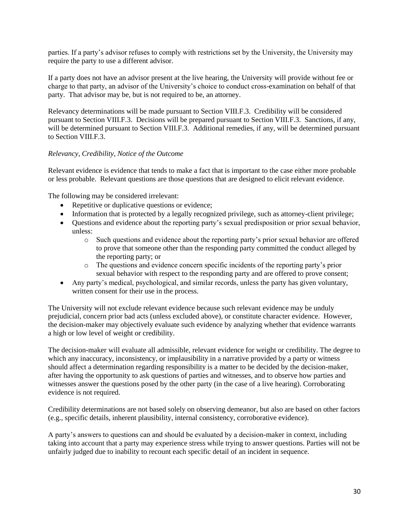parties. If a party's advisor refuses to comply with restrictions set by the University, the University may require the party to use a different advisor.

If a party does not have an advisor present at the live hearing, the University will provide without fee or charge to that party, an advisor of the University's choice to conduct cross-examination on behalf of that party. That advisor may be, but is not required to be, an attorney.

Relevancy determinations will be made pursuant to Section VIII.F.3. Credibility will be considered pursuant to Section VIII.F.3. Decisions will be prepared pursuant to Section VIII.F.3. Sanctions, if any, will be determined pursuant to Section VIII.F.3. Additional remedies, if any, will be determined pursuant to Section VIII.F.3.

## *Relevancy, Credibility, Notice of the Outcome*

Relevant evidence is evidence that tends to make a fact that is important to the case either more probable or less probable. Relevant questions are those questions that are designed to elicit relevant evidence.

The following may be considered irrelevant:

- Repetitive or duplicative questions or evidence;
- Information that is protected by a legally recognized privilege, such as attorney-client privilege;
- Questions and evidence about the reporting party's sexual predisposition or prior sexual behavior, unless:
	- o Such questions and evidence about the reporting party's prior sexual behavior are offered to prove that someone other than the responding party committed the conduct alleged by the reporting party; or
	- o The questions and evidence concern specific incidents of the reporting party's prior sexual behavior with respect to the responding party and are offered to prove consent;
- Any party's medical, psychological, and similar records, unless the party has given voluntary, written consent for their use in the process.

The University will not exclude relevant evidence because such relevant evidence may be unduly prejudicial, concern prior bad acts (unless excluded above), or constitute character evidence. However, the decision-maker may objectively evaluate such evidence by analyzing whether that evidence warrants a high or low level of weight or credibility.

The decision-maker will evaluate all admissible, relevant evidence for weight or credibility. The degree to which any inaccuracy, inconsistency, or implausibility in a narrative provided by a party or witness should affect a determination regarding responsibility is a matter to be decided by the decision-maker, after having the opportunity to ask questions of parties and witnesses, and to observe how parties and witnesses answer the questions posed by the other party (in the case of a live hearing). Corroborating evidence is not required.

Credibility determinations are not based solely on observing demeanor, but also are based on other factors (e.g., specific details, inherent plausibility, internal consistency, corroborative evidence).

A party's answers to questions can and should be evaluated by a decision-maker in context, including taking into account that a party may experience stress while trying to answer questions. Parties will not be unfairly judged due to inability to recount each specific detail of an incident in sequence.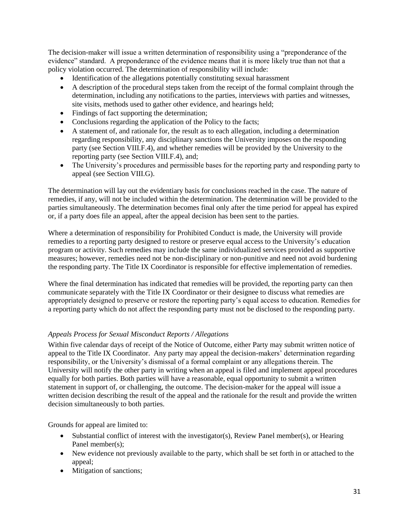The decision-maker will issue a written determination of responsibility using a "preponderance of the evidence" standard. A preponderance of the evidence means that it is more likely true than not that a policy violation occurred. The determination of responsibility will include:

- Identification of the allegations potentially constituting sexual harassment
- A description of the procedural steps taken from the receipt of the formal complaint through the determination, including any notifications to the parties, interviews with parties and witnesses, site visits, methods used to gather other evidence, and hearings held;
- Findings of fact supporting the determination;
- Conclusions regarding the application of the Policy to the facts;
- A statement of, and rationale for, the result as to each allegation, including a determination regarding responsibility, any disciplinary sanctions the University imposes on the responding party (see Section VIII.F.4), and whether remedies will be provided by the University to the reporting party (see Section VIII.F.4), and;
- The University's procedures and permissible bases for the reporting party and responding party to appeal (see Section VIII.G).

The determination will lay out the evidentiary basis for conclusions reached in the case. The nature of remedies, if any, will not be included within the determination. The determination will be provided to the parties simultaneously. The determination becomes final only after the time period for appeal has expired or, if a party does file an appeal, after the appeal decision has been sent to the parties.

Where a determination of responsibility for Prohibited Conduct is made, the University will provide remedies to a reporting party designed to restore or preserve equal access to the University's education program or activity. Such remedies may include the same individualized services provided as supportive measures; however, remedies need not be non-disciplinary or non-punitive and need not avoid burdening the responding party. The Title IX Coordinator is responsible for effective implementation of remedies.

Where the final determination has indicated that remedies will be provided, the reporting party can then communicate separately with the Title IX Coordinator or their designee to discuss what remedies are appropriately designed to preserve or restore the reporting party's equal access to education. Remedies for a reporting party which do not affect the responding party must not be disclosed to the responding party.

## *Appeals Process for Sexual Misconduct Reports / Allegations*

Within five calendar days of receipt of the Notice of Outcome, either Party may submit written notice of appeal to the Title IX Coordinator. Any party may appeal the decision-makers' determination regarding responsibility, or the University's dismissal of a formal complaint or any allegations therein. The University will notify the other party in writing when an appeal is filed and implement appeal procedures equally for both parties. Both parties will have a reasonable, equal opportunity to submit a written statement in support of, or challenging, the outcome. The decision-maker for the appeal will issue a written decision describing the result of the appeal and the rationale for the result and provide the written decision simultaneously to both parties.

Grounds for appeal are limited to:

- Substantial conflict of interest with the investigator(s), Review Panel member(s), or Hearing Panel member(s);
- New evidence not previously available to the party, which shall be set forth in or attached to the appeal;
- Mitigation of sanctions;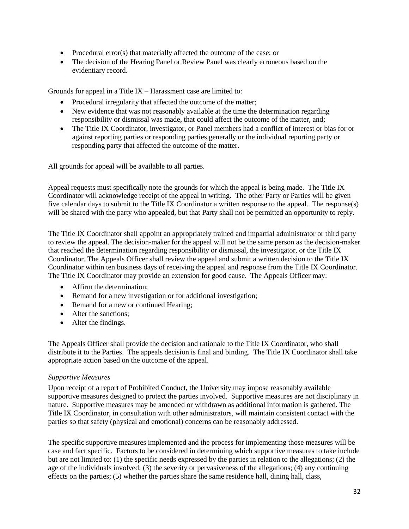- Procedural error(s) that materially affected the outcome of the case; or
- The decision of the Hearing Panel or Review Panel was clearly erroneous based on the evidentiary record.

Grounds for appeal in a Title IX – Harassment case are limited to:

- Procedural irregularity that affected the outcome of the matter;
- New evidence that was not reasonably available at the time the determination regarding responsibility or dismissal was made, that could affect the outcome of the matter, and;
- The Title IX Coordinator, investigator, or Panel members had a conflict of interest or bias for or against reporting parties or responding parties generally or the individual reporting party or responding party that affected the outcome of the matter.

All grounds for appeal will be available to all parties.

Appeal requests must specifically note the grounds for which the appeal is being made. The Title IX Coordinator will acknowledge receipt of the appeal in writing. The other Party or Parties will be given five calendar days to submit to the Title IX Coordinator a written response to the appeal. The response(s) will be shared with the party who appealed, but that Party shall not be permitted an opportunity to reply.

The Title IX Coordinator shall appoint an appropriately trained and impartial administrator or third party to review the appeal. The decision-maker for the appeal will not be the same person as the decision-maker that reached the determination regarding responsibility or dismissal, the investigator, or the Title IX Coordinator. The Appeals Officer shall review the appeal and submit a written decision to the Title IX Coordinator within ten business days of receiving the appeal and response from the Title IX Coordinator. The Title IX Coordinator may provide an extension for good cause. The Appeals Officer may:

- Affirm the determination;
- Remand for a new investigation or for additional investigation;
- Remand for a new or continued Hearing;
- Alter the sanctions:
- Alter the findings.

The Appeals Officer shall provide the decision and rationale to the Title IX Coordinator, who shall distribute it to the Parties. The appeals decision is final and binding. The Title IX Coordinator shall take appropriate action based on the outcome of the appeal.

## *Supportive Measures*

Upon receipt of a report of Prohibited Conduct, the University may impose reasonably available supportive measures designed to protect the parties involved. Supportive measures are not disciplinary in nature. Supportive measures may be amended or withdrawn as additional information is gathered. The Title IX Coordinator, in consultation with other administrators, will maintain consistent contact with the parties so that safety (physical and emotional) concerns can be reasonably addressed.

The specific supportive measures implemented and the process for implementing those measures will be case and fact specific. Factors to be considered in determining which supportive measures to take include but are not limited to: (1) the specific needs expressed by the parties in relation to the allegations; (2) the age of the individuals involved; (3) the severity or pervasiveness of the allegations; (4) any continuing effects on the parties; (5) whether the parties share the same residence hall, dining hall, class,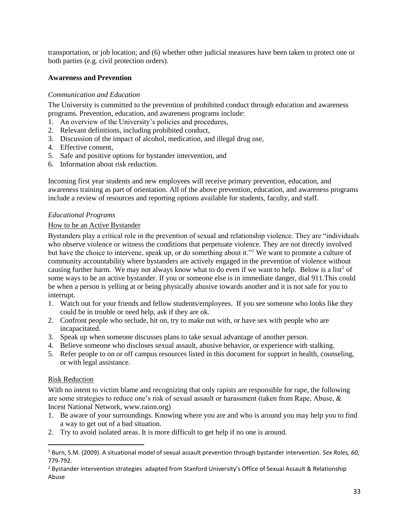transportation, or job location; and (6) whether other judicial measures have been taken to protect one or both parties (e.g. civil protection orders).

## **Awareness and Prevention**

## *Communication and Education*

The University is committed to the prevention of prohibited conduct through education and awareness programs. Prevention, education, and awareness programs include:

- 1. An overview of the University's policies and procedures,
- 2. Relevant definitions, including prohibited conduct,
- 3. Discussion of the impact of alcohol, medication, and illegal drug use,
- 4. Effective consent,
- 5. Safe and positive options for bystander intervention, and
- 6. Information about risk reduction.

Incoming first year students and new employees will receive primary prevention, education, and awareness training as part of orientation. All of the above prevention, education, and awareness programs include a review of resources and reporting options available for students, faculty, and staff.

## *Educational Programs*

## How to be an Active Bystander

Bystanders play a critical role in the prevention of sexual and relationship violence. They are "individuals who observe violence or witness the conditions that perpetuate violence. They are not directly involved but have the choice to intervene, speak up, or do something about it."<sup>1</sup> We want to promote a culture of community accountability where bystanders are actively engaged in the prevention of violence without causing further harm. We may not always know what to do even if we want to help. Below is a list<sup>2</sup> of some ways to be an active bystander. If you or someone else is in immediate danger, dial 911.This could be when a person is yelling at or being physically abusive towards another and it is not safe for you to interrupt.

- 1. Watch out for your friends and fellow students/employees. If you see someone who looks like they could be in trouble or need help, ask if they are ok.
- 2. Confront people who seclude, hit on, try to make out with, or have sex with people who are incapacitated.
- 3. Speak up when someone discusses plans to take sexual advantage of another person.
- 4. Believe someone who discloses sexual assault, abusive behavior, or experience with stalking.
- 5. Refer people to on or off campus resources listed in this document for support in health, counseling, or with legal assistance.

## Risk Reduction

l

With no intent to victim blame and recognizing that only rapists are responsible for rape, the following are some strategies to reduce one's risk of sexual assault or harassment (taken from Rape, Abuse, & Incest National Network, www.rainn.org)

- 1. Be aware of your surroundings. Knowing where you are and who is around you may help you to find a way to get out of a bad situation.
- 2. Try to avoid isolated areas. It is more difficult to get help if no one is around.

<sup>1</sup> Burn, S.M. (2009). A situational model of sexual assault prevention through bystander intervention. *Sex Roles, 60*, 779-792.

<sup>&</sup>lt;sup>2</sup> Bystander intervention strategies adapted from Stanford University's Office of Sexual Assault & Relationship Abuse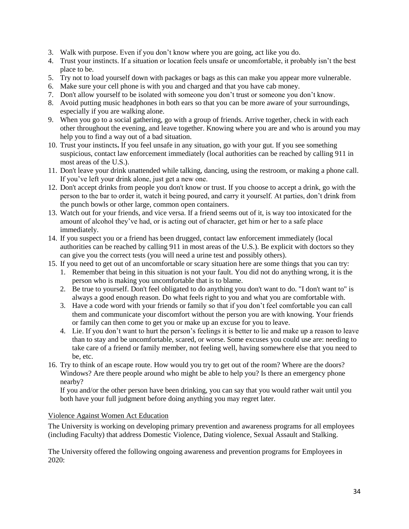- 3. Walk with purpose. Even if you don't know where you are going, act like you do.
- 4. Trust your instincts. If a situation or location feels unsafe or uncomfortable, it probably isn't the best place to be.
- 5. Try not to load yourself down with packages or bags as this can make you appear more vulnerable.
- 6. Make sure your cell phone is with you and charged and that you have cab money.
- 7. Don't allow yourself to be isolated with someone you don't trust or someone you don't know.
- 8. Avoid putting music headphones in both ears so that you can be more aware of your surroundings, especially if you are walking alone.
- 9. When you go to a social gathering, go with a group of friends. Arrive together, check in with each other throughout the evening, and leave together. Knowing where you are and who is around you may help you to find a way out of a bad situation.
- 10. Trust your instincts**.** If you feel unsafe in any situation, go with your gut. If you see something suspicious, contact law enforcement immediately (local authorities can be reached by calling 911 in most areas of the U.S.).
- 11. Don't leave your drink unattended while talking, dancing, using the restroom, or making a phone call. If you've left your drink alone, just get a new one.
- 12. Don't accept drinks from people you don't know or trust. If you choose to accept a drink, go with the person to the bar to order it, watch it being poured, and carry it yourself. At parties, don't drink from the punch bowls or other large, common open containers.
- 13. Watch out for your friends, and vice versa. If a friend seems out of it, is way too intoxicated for the amount of alcohol they've had, or is acting out of character, get him or her to a safe place immediately.
- 14. If you suspect you or a friend has been drugged, contact law enforcement immediately (local authorities can be reached by calling 911 in most areas of the U.S.). Be explicit with doctors so they can give you the correct tests (you will need a urine test and possibly others).
- 15. If you need to get out of an uncomfortable or scary situation here are some things that you can try:
	- 1. Remember that being in this situation is not your fault. You did not do anything wrong, it is the person who is making you uncomfortable that is to blame.
	- 2. Be true to yourself. Don't feel obligated to do anything you don't want to do. "I don't want to" is always a good enough reason. Do what feels right to you and what you are comfortable with.
	- 3. Have a code word with your friends or family so that if you don't feel comfortable you can call them and communicate your discomfort without the person you are with knowing. Your friends or family can then come to get you or make up an excuse for you to leave.
	- 4. Lie. If you don't want to hurt the person's feelings it is better to lie and make up a reason to leave than to stay and be uncomfortable, scared, or worse. Some excuses you could use are: needing to take care of a friend or family member, not feeling well, having somewhere else that you need to be, etc.
- 16. Try to think of an escape route. How would you try to get out of the room? Where are the doors? Windows? Are there people around who might be able to help you? Is there an emergency phone nearby?

If you and/or the other person have been drinking, you can say that you would rather wait until you both have your full judgment before doing anything you may regret later.

## Violence Against Women Act Education

The University is working on developing primary prevention and awareness programs for all employees (including Faculty) that address Domestic Violence, Dating violence, Sexual Assault and Stalking*.*

The University offered the following ongoing awareness and prevention programs for Employees in 2020: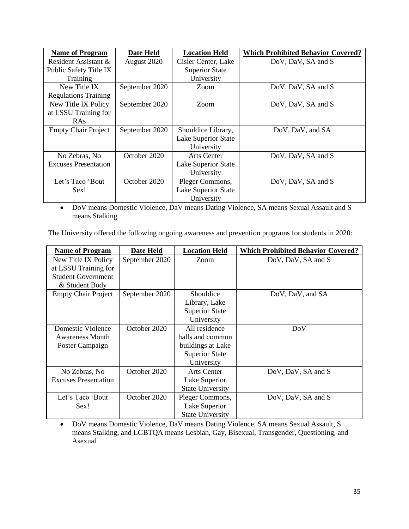| <b>Name of Program</b>      | Date Held      | <b>Location Held</b>  | <b>Which Prohibited Behavior Covered?</b> |
|-----------------------------|----------------|-----------------------|-------------------------------------------|
| Resident Assistant &        | August 2020    | Cisler Center, Lake   | DoV, DaV, SA and S                        |
| Public Safety Title IX      |                | <b>Superior State</b> |                                           |
| Training                    |                | University            |                                           |
| New Title IX                | September 2020 | Zoom                  | DoV, DaV, SA and S                        |
| <b>Regulations Training</b> |                |                       |                                           |
| New Title IX Policy         | September 2020 | Zoom                  | DoV, DaV, SA and S                        |
| at LSSU Training for        |                |                       |                                           |
| <b>RAs</b>                  |                |                       |                                           |
| <b>Empty Chair Project</b>  | September 2020 | Shouldice Library,    | DoV, DaV, and SA                          |
|                             |                | Lake Superior State   |                                           |
|                             |                | University            |                                           |
| No Zebras, No               | October 2020   | <b>Arts Center</b>    | DoV, DaV, SA and S                        |
| <b>Excuses Presentation</b> |                | Lake Superior State   |                                           |
|                             |                | University            |                                           |
| Let's Taco 'Bout            | October 2020   | Pleger Commons,       | DoV, DaV, SA and S                        |
| Sex!                        |                | Lake Superior State   |                                           |
|                             |                | University            |                                           |

 DoV means Domestic Violence, DaV means Dating Violence, SA means Sexual Assault and S means Stalking

The University offered the following ongoing awareness and prevention programs for students in 2020:

| <b>Name of Program</b>      | <b>Date Held</b> | <b>Location Held</b>    | <b>Which Prohibited Behavior Covered?</b> |  |  |  |
|-----------------------------|------------------|-------------------------|-------------------------------------------|--|--|--|
| New Title IX Policy         | September 2020   | Zoom                    | DoV, DaV, SA and S                        |  |  |  |
| at LSSU Training for        |                  |                         |                                           |  |  |  |
| <b>Student Government</b>   |                  |                         |                                           |  |  |  |
| & Student Body              |                  |                         |                                           |  |  |  |
| <b>Empty Chair Project</b>  | September 2020   | Shouldice               | DoV, DaV, and SA                          |  |  |  |
|                             |                  | Library, Lake           |                                           |  |  |  |
|                             |                  | <b>Superior State</b>   |                                           |  |  |  |
|                             |                  | University              |                                           |  |  |  |
| Domestic Violence           | October 2020     | All residence           | DoV                                       |  |  |  |
| Awareness Month             |                  | halls and common        |                                           |  |  |  |
| Poster Campaign             |                  | buildings at Lake       |                                           |  |  |  |
|                             |                  | <b>Superior State</b>   |                                           |  |  |  |
|                             |                  | University              |                                           |  |  |  |
| No Zebras, No               | October 2020     | <b>Arts Center</b>      | DoV, DaV, SA and S                        |  |  |  |
| <b>Excuses Presentation</b> |                  | Lake Superior           |                                           |  |  |  |
|                             |                  | <b>State University</b> |                                           |  |  |  |
| Let's Taco 'Bout            | October 2020     | Pleger Commons,         | DoV, DaV, SA and S                        |  |  |  |
| Sex!                        |                  | Lake Superior           |                                           |  |  |  |
|                             |                  | <b>State University</b> |                                           |  |  |  |

 DoV means Domestic Violence, DaV means Dating Violence, SA means Sexual Assault, S means Stalking, and LGBTQA means Lesbian, Gay, Bisexual, Transgender, Questioning, and Asexual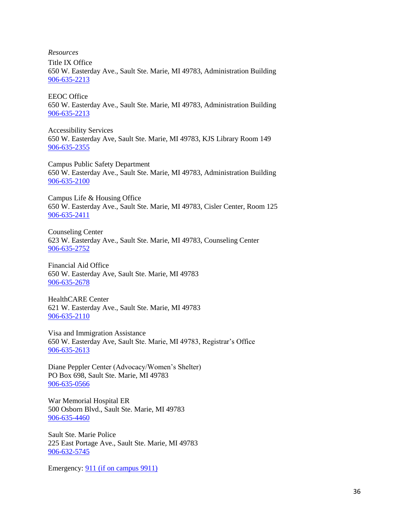*Resources*

Title IX Office 650 W. Easterday Ave., Sault Ste. Marie, MI 49783, Administration Building [906-635-2213](tel:906-635-2213)

EEOC Office 650 W. Easterday Ave., Sault Ste. Marie, MI 49783, Administration Building [906-635-2213](tel:906-635-2213)

Accessibility Services 650 W. Easterday Ave, Sault Ste. Marie, MI 49783, KJS Library Room 149 906-635-2355

Campus Public Safety Department 650 W. Easterday Ave., Sault Ste. Marie, MI 49783, Administration Building [906-635-2100](tel:906-635-2100)

Campus Life & Housing Office 650 W. Easterday Ave., Sault Ste. Marie, MI 49783, Cisler Center, Room 125 [906-635-2411](tel:906-635-2236)

Counseling Center 623 W. Easterday Ave., Sault Ste. Marie, MI 49783, Counseling Center [906-635-2752](tel:906-635-2752)

Financial Aid Office 650 W. Easterday Ave, Sault Ste. Marie, MI 49783 906-635-2678

HealthCARE Center 621 W. Easterday Ave., Sault Ste. Marie, MI 49783 [906-635-2110](tel:906-635-2110)

Visa and Immigration Assistance 650 W. Easterday Ave, Sault Ste. Marie, MI 49783, Registrar's Office 906-635-2613

Diane Peppler Center (Advocacy/Women's Shelter) PO Box 698, Sault Ste. Marie, MI 49783 [906-635-0566](tel:906-635-0566)

War Memorial Hospital ER 500 Osborn Blvd., Sault Ste. Marie, MI 49783 [906-635-4460](tel:906-635-4460)

Sault Ste. Marie Police 225 East Portage Ave., Sault Ste. Marie, MI 49783 906-632-5745

Emergency: 911 (if on campus 9911)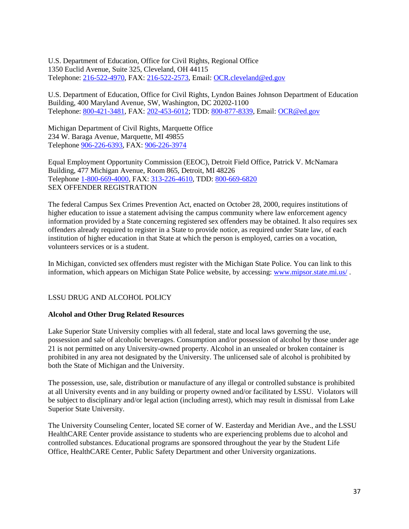U.S. Department of Education, Office for Civil Rights, Regional Office 1350 Euclid Avenue, Suite 325, Cleveland, OH 44115 Telephone: 216-522-4970, FAX: 216-522-2573, Email: [OCR.cleveland@ed.gov](mailto:OCR.cleveland@ed.gov)

U.S. Department of Education, Office for Civil Rights, Lyndon Baines Johnson Department of Education Building, 400 Maryland Avenue, SW, Washington, DC 20202-1100 Telephone: 800-421-3481, FAX: 202-453-6012; TDD: 800-877-8339, Email: [OCR@ed.gov](mailto:OCR@ed.gov)

Michigan Department of Civil Rights, Marquette Office 234 W. Baraga Avenue, Marquette, MI 49855 Telephone 906-226-6393, FAX: 906-226-3974

Equal Employment Opportunity Commission (EEOC), Detroit Field Office, Patrick V. McNamara Building, 477 Michigan Avenue, Room 865, Detroit, MI 48226 Telephone 1-800-669-4000, FAX: 313-226-4610, TDD: 800-669-6820 SEX OFFENDER REGISTRATION

The federal Campus Sex Crimes Prevention Act, enacted on October 28, 2000, requires institutions of higher education to issue a statement advising the campus community where law enforcement agency information provided by a State concerning registered sex offenders may be obtained. It also requires sex offenders already required to register in a State to provide notice, as required under State law, of each institution of higher education in that State at which the person is employed, carries on a vocation, volunteers services or is a student.

In Michigan, convicted sex offenders must register with the Michigan State Police. You can link to this information, which appears on Michigan State Police website, by accessing: [www.mipsor.state.mi.us/](http://www.mipsor.state.mi.us/) .

## LSSU DRUG AND ALCOHOL POLICY

## **Alcohol and Other Drug Related Resources**

Lake Superior State University complies with all federal, state and local laws governing the use, possession and sale of alcoholic beverages. Consumption and/or possession of alcohol by those under age 21 is not permitted on any University-owned property. Alcohol in an unsealed or broken container is prohibited in any area not designated by the University. The unlicensed sale of alcohol is prohibited by both the State of Michigan and the University.

The possession, use, sale, distribution or manufacture of any illegal or controlled substance is prohibited at all University events and in any building or property owned and/or facilitated by LSSU. Violators will be subject to disciplinary and/or legal action (including arrest), which may result in dismissal from Lake Superior State University.

The University Counseling Center, located SE corner of W. Easterday and Meridian Ave., and the LSSU HealthCARE Center provide assistance to students who are experiencing problems due to alcohol and controlled substances. Educational programs are sponsored throughout the year by the Student Life Office, HealthCARE Center, Public Safety Department and other University organizations.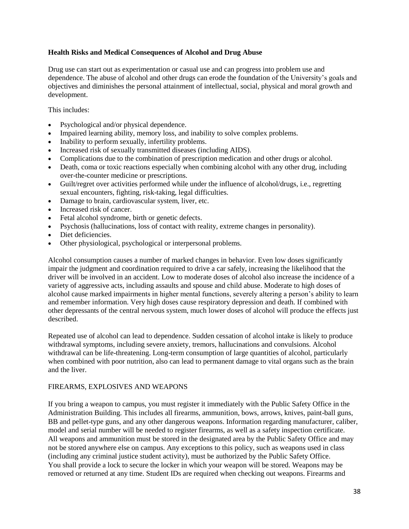## **Health Risks and Medical Consequences of Alcohol and Drug Abuse**

Drug use can start out as experimentation or casual use and can progress into problem use and dependence. The abuse of alcohol and other drugs can erode the foundation of the University's goals and objectives and diminishes the personal attainment of intellectual, social, physical and moral growth and development.

## This includes:

- Psychological and/or physical dependence.
- Impaired learning ability, memory loss, and inability to solve complex problems.
- Inability to perform sexually, infertility problems.
- Increased risk of sexually transmitted diseases (including AIDS).
- Complications due to the combination of prescription medication and other drugs or alcohol.
- Death, coma or toxic reactions especially when combining alcohol with any other drug, including over-the-counter medicine or prescriptions.
- Guilt/regret over activities performed while under the influence of alcohol/drugs, i.e., regretting sexual encounters, fighting, risk-taking, legal difficulties.
- Damage to brain, cardiovascular system, liver, etc.
- Increased risk of cancer.
- Fetal alcohol syndrome, birth or genetic defects.
- Psychosis (hallucinations, loss of contact with reality, extreme changes in personality).
- Diet deficiencies.
- Other physiological, psychological or interpersonal problems.

Alcohol consumption causes a number of marked changes in behavior. Even low doses significantly impair the judgment and coordination required to drive a car safely, increasing the likelihood that the driver will be involved in an accident. Low to moderate doses of alcohol also increase the incidence of a variety of aggressive acts, including assaults and spouse and child abuse. Moderate to high doses of alcohol cause marked impairments in higher mental functions, severely altering a person's ability to learn and remember information. Very high doses cause respiratory depression and death. If combined with other depressants of the central nervous system, much lower doses of alcohol will produce the effects just described.

Repeated use of alcohol can lead to dependence. Sudden cessation of alcohol intake is likely to produce withdrawal symptoms, including severe anxiety, tremors, hallucinations and convulsions. Alcohol withdrawal can be life-threatening. Long-term consumption of large quantities of alcohol, particularly when combined with poor nutrition, also can lead to permanent damage to vital organs such as the brain and the liver.

## FIREARMS, EXPLOSIVES AND WEAPONS

If you bring a weapon to campus, you must register it immediately with the Public Safety Office in the Administration Building. This includes all firearms, ammunition, bows, arrows, knives, paint-ball guns, BB and pellet-type guns, and any other dangerous weapons. Information regarding manufacturer, caliber, model and serial number will be needed to register firearms, as well as a safety inspection certificate. All weapons and ammunition must be stored in the designated area by the Public Safety Office and may not be stored anywhere else on campus. Any exceptions to this policy, such as weapons used in class (including any criminal justice student activity), must be authorized by the Public Safety Office. You shall provide a lock to secure the locker in which your weapon will be stored. Weapons may be removed or returned at any time. Student IDs are required when checking out weapons. Firearms and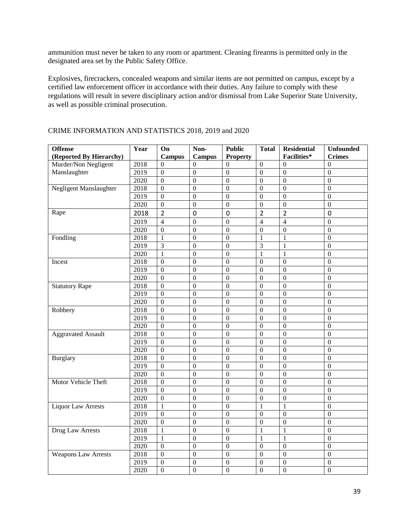ammunition must never be taken to any room or apartment. Cleaning firearms is permitted only in the designated area set by the Public Safety Office.

Explosives, firecrackers, concealed weapons and similar items are not permitted on campus, except by a certified law enforcement officer in accordance with their duties. Any failure to comply with these regulations will result in severe disciplinary action and/or dismissal from Lake Superior State University, as well as possible criminal prosecution.

| <b>Offense</b>             | Year              | On               | Non-             | <b>Public</b>    | <b>Total</b>     | <b>Residential</b> | <b>Unfounded</b> |
|----------------------------|-------------------|------------------|------------------|------------------|------------------|--------------------|------------------|
| (Reported By Hierarchy)    |                   | <b>Campus</b>    | <b>Campus</b>    | <b>Property</b>  |                  | Facilities*        | <b>Crimes</b>    |
| Murder/Non Negligent       | 2018              | $\overline{0}$   | $\overline{0}$   | $\theta$         | $\mathbf{0}$     | $\overline{0}$     | $\theta$         |
| Manslaughter               | 2019              | $\overline{0}$   | $\overline{0}$   | $\overline{0}$   | $\overline{0}$   | $\overline{0}$     | $\overline{0}$   |
|                            | 2020              | $\overline{0}$   | $\mathbf{0}$     | $\overline{0}$   | $\overline{0}$   | $\theta$           | $\overline{0}$   |
| Negligent Manslaughter     | 2018              | $\boldsymbol{0}$ | $\boldsymbol{0}$ | $\boldsymbol{0}$ | $\mathbf{0}$     | $\theta$           | $\overline{0}$   |
|                            | 2019              | $\boldsymbol{0}$ | $\mathbf{0}$     | $\boldsymbol{0}$ | $\mathbf{0}$     | $\mathbf{0}$       | $\overline{0}$   |
|                            | 2020              | $\mathbf{0}$     | $\overline{0}$   | $\overline{0}$   | $\mathbf{0}$     | $\overline{0}$     | $\overline{0}$   |
| Rape                       | 2018              | $\overline{2}$   | $\mathbf 0$      | $\mathbf 0$      | $\overline{2}$   | $\overline{2}$     | $\mathbf 0$      |
|                            | $\overline{2019}$ | $\overline{4}$   | $\overline{0}$   | $\overline{0}$   | $\overline{4}$   | $\overline{4}$     | $\overline{0}$   |
|                            | $\overline{2020}$ | $\overline{0}$   | $\overline{0}$   | $\overline{0}$   | $\overline{0}$   | $\overline{0}$     | $\overline{0}$   |
| Fondling                   | 2018              | $\mathbf{1}$     | $\overline{0}$   | $\boldsymbol{0}$ | $\mathbf{1}$     | $\mathbf{1}$       | $\overline{0}$   |
|                            | 2019              | 3                | $\boldsymbol{0}$ | $\boldsymbol{0}$ | $\overline{3}$   | $\mathbf{1}$       | $\boldsymbol{0}$ |
|                            | 2020              | $\mathbf{1}$     | $\overline{0}$   | $\boldsymbol{0}$ | $\mathbf{1}$     | $\mathbf{1}$       | $\boldsymbol{0}$ |
| Incest                     | 2018              | $\boldsymbol{0}$ | $\overline{0}$   | $\boldsymbol{0}$ | $\overline{0}$   | $\mathbf{0}$       | $\overline{0}$   |
|                            | 2019              | $\boldsymbol{0}$ | $\overline{0}$   | $\overline{0}$   | $\overline{0}$   | $\theta$           | $\overline{0}$   |
|                            | 2020              | $\mathbf{0}$     | $\boldsymbol{0}$ | $\boldsymbol{0}$ | $\mathbf{0}$     | $\mathbf{0}$       | $\boldsymbol{0}$ |
| <b>Statutory Rape</b>      | 2018              | $\boldsymbol{0}$ | $\boldsymbol{0}$ | $\boldsymbol{0}$ | $\boldsymbol{0}$ | $\mathbf{0}$       | $\boldsymbol{0}$ |
|                            | 2019              | $\mathbf{0}$     | $\mathbf{0}$     | $\mathbf{0}$     | $\mathbf{0}$     | $\mathbf{0}$       | $\boldsymbol{0}$ |
|                            | 2020              | $\boldsymbol{0}$ | $\mathbf{0}$     | $\mathbf{0}$     | $\mathbf{0}$     | $\boldsymbol{0}$   | $\boldsymbol{0}$ |
| Robbery                    | 2018              | $\mathbf{0}$     | $\boldsymbol{0}$ | $\overline{0}$   | $\overline{0}$   | $\overline{0}$     | $\overline{0}$   |
|                            | 2019              | $\mathbf{0}$     | $\mathbf{0}$     | $\boldsymbol{0}$ | $\overline{0}$   | $\overline{0}$     | $\mathbf{0}$     |
|                            | 2020              | $\mathbf{0}$     | $\mathbf{0}$     | $\boldsymbol{0}$ | $\overline{0}$   | $\overline{0}$     | $\mathbf{0}$     |
| <b>Aggravated Assault</b>  | 2018              | $\theta$         | $\mathbf{0}$     | $\boldsymbol{0}$ | $\theta$         | $\theta$           | $\mathbf{0}$     |
|                            | 2019              | $\boldsymbol{0}$ | $\boldsymbol{0}$ | $\boldsymbol{0}$ | $\boldsymbol{0}$ | $\mathbf{0}$       | $\boldsymbol{0}$ |
|                            | 2020              | $\boldsymbol{0}$ | $\mathbf{0}$     | $\boldsymbol{0}$ | $\mathbf{0}$     | $\overline{0}$     | $\mathbf{0}$     |
| <b>Burglary</b>            | 2018              | $\mathbf{0}$     | $\overline{0}$   | $\overline{0}$   | $\overline{0}$   | $\overline{0}$     | $\overline{0}$   |
|                            | 2019              | $\overline{0}$   | $\mathbf{0}$     | $\overline{0}$   | $\overline{0}$   | $\mathbf{0}$       | $\mathbf{0}$     |
|                            | 2020              | $\boldsymbol{0}$ | $\boldsymbol{0}$ | $\boldsymbol{0}$ | $\mathbf{0}$     | $\theta$           | $\boldsymbol{0}$ |
| Motor Vehicle Theft        | 2018              | $\boldsymbol{0}$ | $\overline{0}$   | $\boldsymbol{0}$ | $\mathbf{0}$     | $\mathbf{0}$       | $\overline{0}$   |
|                            | 2019              | $\mathbf{0}$     | $\overline{0}$   | $\overline{0}$   | $\overline{0}$   | $\overline{0}$     | $\mathbf{0}$     |
|                            | 2020              | $\mathbf{0}$     | $\overline{0}$   | $\overline{0}$   | $\mathbf{0}$     | $\overline{0}$     | $\overline{0}$   |
| <b>Liquor Law Arrests</b>  | 2018              | 1                | $\overline{0}$   | $\boldsymbol{0}$ | 1                | 1                  | $\mathbf{0}$     |
|                            | 2019              | $\boldsymbol{0}$ | $\overline{0}$   | $\boldsymbol{0}$ | $\mathbf{0}$     | $\mathbf{0}$       | $\overline{0}$   |
|                            | 2020              | $\overline{0}$   | $\overline{0}$   | $\overline{0}$   | $\mathbf{0}$     | $\mathbf{0}$       | $\overline{0}$   |
| Drug Law Arrests           | 2018              | 1                | $\overline{0}$   | $\mathbf{0}$     | 1                | 1                  | $\boldsymbol{0}$ |
|                            | 2019              | 1                | $\overline{0}$   | $\overline{0}$   | $\mathbf{1}$     | $\mathbf{1}$       | $\overline{0}$   |
|                            | 2020              | $\mathbf{0}$     | $\boldsymbol{0}$ | $\boldsymbol{0}$ | $\overline{0}$   | $\overline{0}$     | $\mathbf{0}$     |
| <b>Weapons Law Arrests</b> | 2018              | $\mathbf{0}$     | $\overline{0}$   | $\overline{0}$   | $\overline{0}$   | $\overline{0}$     | $\mathbf{0}$     |
|                            | 2019              | $\mathbf{0}$     | $\mathbf{0}$     | $\theta$         | $\theta$         | $\theta$           | $\overline{0}$   |
|                            | 2020              | $\mathbf{0}$     | $\overline{0}$   | $\overline{0}$   | $\overline{0}$   | $\theta$           | $\overline{0}$   |

## CRIME INFORMATION AND STATISTICS 2018, 2019 and 2020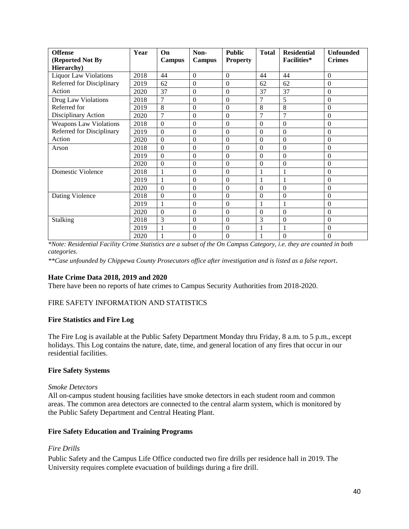| <b>Offense</b>                | Year | On             | Non-             | <b>Public</b>    | <b>Total</b>     | <b>Residential</b> | <b>Unfounded</b> |
|-------------------------------|------|----------------|------------------|------------------|------------------|--------------------|------------------|
| (Reported Not By              |      | Campus         | Campus           | <b>Property</b>  |                  | Facilities*        | <b>Crimes</b>    |
| <b>Hierarchy</b> )            |      |                |                  |                  |                  |                    |                  |
| <b>Liquor Law Violations</b>  | 2018 | 44             | $\Omega$         | $\theta$         | 44               | 44                 | $\Omega$         |
| Referred for Disciplinary     | 2019 | 62             | $\Omega$         | $\theta$         | 62               | 62                 | $\Omega$         |
| Action                        | 2020 | 37             | $\theta$         | $\boldsymbol{0}$ | 37               | 37                 | $\Omega$         |
| Drug Law Violations           | 2018 | 7              | $\theta$         | $\boldsymbol{0}$ | 7                | 5                  | $\Omega$         |
| Referred for                  | 2019 | 8              | $\theta$         | $\overline{0}$   | 8                | 8                  | $\Omega$         |
| Disciplinary Action           | 2020 | $\overline{7}$ | $\theta$         | $\theta$         | 7                | 7                  | $\theta$         |
| <b>Weapons Law Violations</b> | 2018 | $\Omega$       | $\theta$         | $\theta$         | $\theta$         | $\theta$           | $\Omega$         |
| Referred for Disciplinary     | 2019 | $\Omega$       | $\theta$         | $\overline{0}$   | $\Omega$         | $\Omega$           | $\Omega$         |
| Action                        | 2020 | $\mathbf{0}$   | $\overline{0}$   | $\overline{0}$   | $\mathbf{0}$     | $\overline{0}$     | $\overline{0}$   |
| Arson                         | 2018 | $\Omega$       | $\boldsymbol{0}$ | $\boldsymbol{0}$ | $\Omega$         | $\boldsymbol{0}$   | $\mathbf{0}$     |
|                               | 2019 | $\Omega$       | $\theta$         | $\theta$         | $\Omega$         | $\Omega$           | $\Omega$         |
|                               | 2020 | $\Omega$       | $\theta$         | $\boldsymbol{0}$ | $\Omega$         | $\theta$           | $\Omega$         |
| Domestic Violence             | 2018 | 1              | $\boldsymbol{0}$ | $\boldsymbol{0}$ | 1                | 1                  | $\theta$         |
|                               | 2019 | 1              | $\theta$         | $\boldsymbol{0}$ | $\mathbf{1}$     | $\mathbf{1}$       | $\Omega$         |
|                               | 2020 | $\Omega$       | $\theta$         | $\overline{0}$   | $\Omega$         | $\Omega$           | $\Omega$         |
| Dating Violence               | 2018 | $\Omega$       | $\overline{0}$   | $\overline{0}$   | $\boldsymbol{0}$ | $\theta$           | $\Omega$         |
|                               | 2019 | 1              | $\theta$         | $\overline{0}$   |                  |                    | $\theta$         |
|                               | 2020 | $\overline{0}$ | $\overline{0}$   | $\overline{0}$   | $\mathbf{0}$     | $\overline{0}$     | $\overline{0}$   |
| <b>Stalking</b>               | 2018 | 3              | $\boldsymbol{0}$ | $\boldsymbol{0}$ | 3                | $\mathbf{0}$       | $\theta$         |
|                               | 2019 | 1              | $\boldsymbol{0}$ | $\boldsymbol{0}$ |                  |                    | $\theta$         |
|                               | 2020 |                | $\overline{0}$   | $\boldsymbol{0}$ | 1                | $\theta$           | $\overline{0}$   |

*\*Note: Residential Facility Crime Statistics are a subset of the On Campus Category, i.e. they are counted in both categories.* 

*\*\*Case unfounded by Chippewa County Prosecutors office after investigation and is listed as a false report.*

## **Hate Crime Data 2018, 2019 and 2020**

There have been no reports of hate crimes to Campus Security Authorities from 2018-2020.

#### FIRE SAFETY INFORMATION AND STATISTICS

#### **Fire Statistics and Fire Log**

The Fire Log is available at the Public Safety Department Monday thru Friday, 8 a.m. to 5 p.m., except holidays. This Log contains the nature, date, time, and general location of any fires that occur in our residential facilities.

#### **Fire Safety Systems**

#### *Smoke Detectors*

All on-campus student housing facilities have smoke detectors in each student room and common areas. The common area detectors are connected to the central alarm system, which is monitored by the Public Safety Department and Central Heating Plant.

#### **Fire Safety Education and Training Programs**

## *Fire Drills*

Public Safety and the Campus Life Office conducted two fire drills per residence hall in 2019. The University requires complete evacuation of buildings during a fire drill.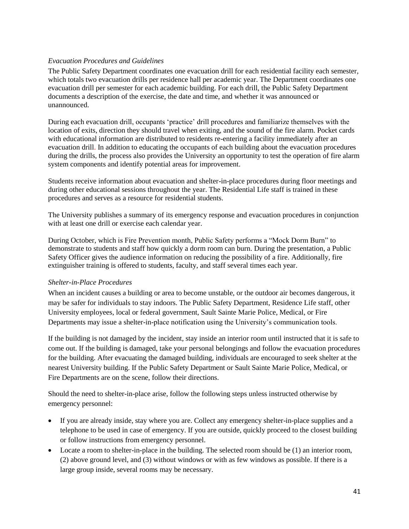## *Evacuation Procedures and Guidelines*

The Public Safety Department coordinates one evacuation drill for each residential facility each semester, which totals two evacuation drills per residence hall per academic year. The Department coordinates one evacuation drill per semester for each academic building. For each drill, the Public Safety Department documents a description of the exercise, the date and time, and whether it was announced or unannounced.

During each evacuation drill, occupants 'practice' drill procedures and familiarize themselves with the location of exits, direction they should travel when exiting, and the sound of the fire alarm. Pocket cards with educational information are distributed to residents re-entering a facility immediately after an evacuation drill. In addition to educating the occupants of each building about the evacuation procedures during the drills, the process also provides the University an opportunity to test the operation of fire alarm system components and identify potential areas for improvement.

Students receive information about evacuation and shelter-in-place procedures during floor meetings and during other educational sessions throughout the year. The Residential Life staff is trained in these procedures and serves as a resource for residential students.

The University publishes a summary of its emergency response and evacuation procedures in conjunction with at least one drill or exercise each calendar year.

During October, which is Fire Prevention month, Public Safety performs a "Mock Dorm Burn" to demonstrate to students and staff how quickly a dorm room can burn. During the presentation, a Public Safety Officer gives the audience information on reducing the possibility of a fire. Additionally, fire extinguisher training is offered to students, faculty, and staff several times each year.

## *Shelter-in-Place Procedures*

When an incident causes a building or area to become unstable, or the outdoor air becomes dangerous, it may be safer for individuals to stay indoors. The Public Safety Department, Residence Life staff, other University employees, local or federal government, Sault Sainte Marie Police, Medical, or Fire Departments may issue a shelter-in-place notification using the University's communication tools.

If the building is not damaged by the incident, stay inside an interior room until instructed that it is safe to come out. If the building is damaged, take your personal belongings and follow the evacuation procedures for the building. After evacuating the damaged building, individuals are encouraged to seek shelter at the nearest University building. If the Public Safety Department or Sault Sainte Marie Police, Medical, or Fire Departments are on the scene, follow their directions.

Should the need to shelter-in-place arise, follow the following steps unless instructed otherwise by emergency personnel:

- If you are already inside, stay where you are. Collect any emergency shelter-in-place supplies and a telephone to be used in case of emergency. If you are outside, quickly proceed to the closest building or follow instructions from emergency personnel.
- Locate a room to shelter-in-place in the building. The selected room should be (1) an interior room, (2) above ground level, and (3) without windows or with as few windows as possible. If there is a large group inside, several rooms may be necessary.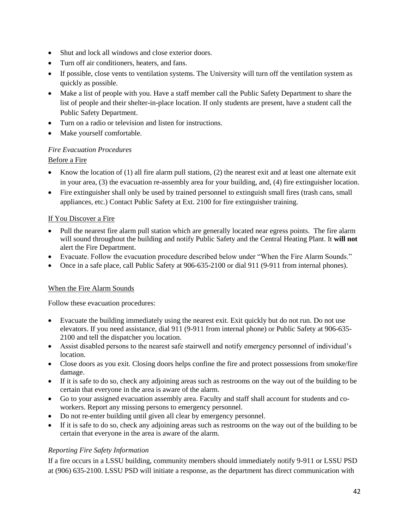- Shut and lock all windows and close exterior doors.
- Turn off air conditioners, heaters, and fans.
- If possible, close vents to ventilation systems. The University will turn off the ventilation system as quickly as possible.
- Make a list of people with you. Have a staff member call the Public Safety Department to share the list of people and their shelter-in-place location. If only students are present, have a student call the Public Safety Department.
- Turn on a radio or television and listen for instructions.
- Make yourself comfortable.

# *Fire Evacuation Procedures*

# Before a Fire

- $\bullet$  Know the location of (1) all fire alarm pull stations, (2) the nearest exit and at least one alternate exit in your area, (3) the evacuation re-assembly area for your building, and, (4) fire extinguisher location.
- Fire extinguisher shall only be used by trained personnel to extinguish small fires (trash cans, small appliances, etc.) Contact Public Safety at Ext. 2100 for fire extinguisher training.

# If You Discover a Fire

- Pull the nearest fire alarm pull station which are generally located near egress points. The fire alarm will sound throughout the building and notify Public Safety and the Central Heating Plant. It **will not** alert the Fire Department.
- Evacuate. Follow the evacuation procedure described below under "When the Fire Alarm Sounds."
- Once in a safe place, call Public Safety at 906-635-2100 or dial 911 (9-911 from internal phones).

# When the Fire Alarm Sounds

Follow these evacuation procedures:

- Evacuate the building immediately using the nearest exit. Exit quickly but do not run. Do not use elevators. If you need assistance, dial 911 (9-911 from internal phone) or Public Safety at 906-635- 2100 and tell the dispatcher you location.
- Assist disabled persons to the nearest safe stairwell and notify emergency personnel of individual's location.
- Close doors as you exit. Closing doors helps confine the fire and protect possessions from smoke/fire damage.
- If it is safe to do so, check any adjoining areas such as restrooms on the way out of the building to be certain that everyone in the area is aware of the alarm.
- Go to your assigned evacuation assembly area. Faculty and staff shall account for students and coworkers. Report any missing persons to emergency personnel.
- Do not re-enter building until given all clear by emergency personnel.
- If it is safe to do so, check any adjoining areas such as restrooms on the way out of the building to be certain that everyone in the area is aware of the alarm.

# *Reporting Fire Safety Information*

If a fire occurs in a LSSU building, community members should immediately notify 9-911 or LSSU PSD at (906) 635-2100. LSSU PSD will initiate a response, as the department has direct communication with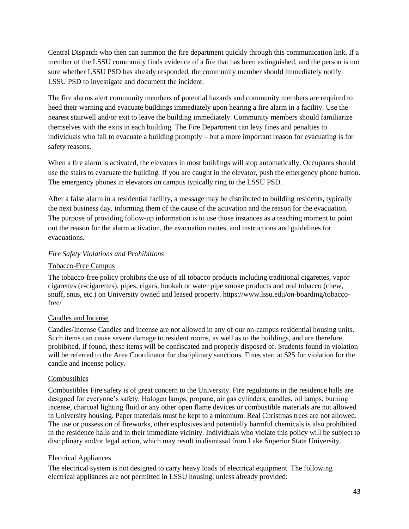Central Dispatch who then can summon the fire department quickly through this communication link. If a member of the LSSU community finds evidence of a fire that has been extinguished, and the person is not sure whether LSSU PSD has already responded, the community member should immediately notify LSSU PSD to investigate and document the incident.

The fire alarms alert community members of potential hazards and community members are required to heed their warning and evacuate buildings immediately upon hearing a fire alarm in a facility. Use the nearest stairwell and/or exit to leave the building immediately. Community members should familiarize themselves with the exits in each building. The Fire Department can levy fines and penalties to individuals who fail to evacuate a building promptly – but a more important reason for evacuating is for safety reasons.

When a fire alarm is activated, the elevators in most buildings will stop automatically. Occupants should use the stairs to evacuate the building. If you are caught in the elevator, push the emergency phone button. The emergency phones in elevators on campus typically ring to the LSSU PSD.

After a false alarm in a residential facility, a message may be distributed to building residents, typically the next business day, informing them of the cause of the activation and the reason for the evacuation*.*  The purpose of providing follow-up information is to use those instances as a teaching moment to point out the reason for the alarm activation, the evacuation routes, and instructions and guidelines for evacuations.

# *Fire Safety Violations and Prohibitions*

# Tobacco-Free Campus

The tobacco-free policy prohibits the use of all tobacco products including traditional cigarettes, vapor cigarettes (e-cigarettes), pipes, cigars, hookah or water pipe smoke products and oral tobacco (chew, snuff, snus, etc.) on University owned and leased property. https://www.lssu.edu/on-boarding/tobaccofree/

# Candles and Incense

Candles/Incense Candles and incense are not allowed in any of our on-campus residential housing units. Such items can cause severe damage to resident rooms, as well as to the buildings, and are therefore prohibited. If found, these items will be confiscated and properly disposed of. Students found in violation will be referred to the Area Coordinator for disciplinary sanctions. Fines start at \$25 for violation for the candle and incense policy.

# Combustibles

Combustibles Fire safety is of great concern to the University. Fire regulations in the residence halls are designed for everyone's safety. Halogen lamps, propane, air gas cylinders, candles, oil lamps, burning incense, charcoal lighting fluid or any other open flame devices or combustible materials are not allowed in University housing. Paper materials must be kept to a minimum. Real Christmas trees are not allowed. The use or possession of fireworks, other explosives and potentially harmful chemicals is also prohibited in the residence halls and in their immediate vicinity. Individuals who violate this policy will be subject to disciplinary and/or legal action, which may result in dismissal from Lake Superior State University.

# Electrical Appliances

The electrical system is not designed to carry heavy loads of electrical equipment. The following electrical appliances are not permitted in LSSU housing, unless already provided: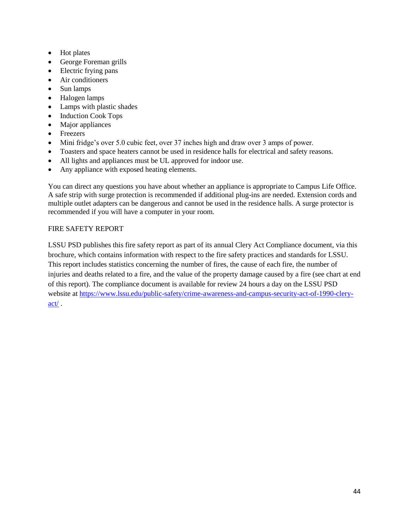- Hot plates
- George Foreman grills
- Electric frying pans
- Air conditioners
- Sun lamps
- Halogen lamps
- Lamps with plastic shades
- Induction Cook Tops
- Major appliances
- Freezers
- Mini fridge's over 5.0 cubic feet, over 37 inches high and draw over 3 amps of power.
- Toasters and space heaters cannot be used in residence halls for electrical and safety reasons.
- All lights and appliances must be UL approved for indoor use.
- Any appliance with exposed heating elements.

You can direct any questions you have about whether an appliance is appropriate to Campus Life Office. A safe strip with surge protection is recommended if additional plug-ins are needed. Extension cords and multiple outlet adapters can be dangerous and cannot be used in the residence halls. A surge protector is recommended if you will have a computer in your room.

# FIRE SAFETY REPORT

LSSU PSD publishes this fire safety report as part of its annual Clery Act Compliance document, via this brochure, which contains information with respect to the fire safety practices and standards for LSSU. This report includes statistics concerning the number of fires, the cause of each fire, the number of injuries and deaths related to a fire, and the value of the property damage caused by a fire (see chart at end of this report). The compliance document is available for review 24 hours a day on the LSSU PSD website at [https://www.lssu.edu/public-safety/crime-awareness-and-campus-security-act-of-1990-clery](https://www.lssu.edu/public-safety/crime-awareness-and-campus-security-act-of-1990-clery-act/)[act/](https://www.lssu.edu/public-safety/crime-awareness-and-campus-security-act-of-1990-clery-act/) .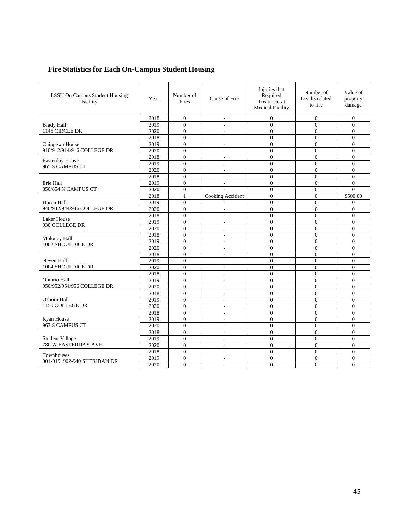# **Fire Statistics for Each On-Campus Student Housing**

| LSSU On Campus Student Housing<br>Facility | Year              | Number of<br>Fires | Cause of Fire               | Injuries that<br>Required<br>Treatment at<br><b>Medical Facility</b> | Number of<br>Deaths related<br>to fire | Value of<br>property<br>damage |
|--------------------------------------------|-------------------|--------------------|-----------------------------|----------------------------------------------------------------------|----------------------------------------|--------------------------------|
|                                            | 2018              | $\Omega$           | $\overline{\phantom{a}}$    | $\mathbf{0}$                                                         | $\overline{0}$                         | $\Omega$                       |
| <b>Brady Hall</b>                          | 2019              | $\Omega$           | ÷.                          | $\theta$                                                             | $\overline{0}$                         | $\theta$                       |
| 1145 CIRCLE DR                             | 2020              | $\mathbf{0}$       | ÷                           | $\overline{0}$                                                       | $\overline{0}$                         | $\theta$                       |
|                                            | 2018              | $\theta$           | ٠                           | $\theta$                                                             | $\overline{0}$                         | $\Omega$                       |
| Chippewa House                             | 2019              | $\overline{0}$     | $\overline{\phantom{a}}$    | $\overline{0}$                                                       | $\overline{0}$                         | $\overline{0}$                 |
| 910/912/914/916 COLLEGE DR                 | 2020              | $\boldsymbol{0}$   | $\overline{\phantom{a}}$    | $\boldsymbol{0}$                                                     | $\boldsymbol{0}$                       | $\overline{0}$                 |
|                                            | 2018              | $\theta$           | ÷,                          | $\theta$                                                             | $\overline{0}$                         | $\theta$                       |
| <b>Easterday House</b><br>965 S CAMPUS CT  | 2019              | $\Omega$           | $\overline{\phantom{a}}$    | $\theta$                                                             | $\overline{0}$                         | $\theta$                       |
|                                            | 2020              | $\overline{0}$     | $\overline{\phantom{a}}$    | $\overline{0}$                                                       | $\mathbf{0}$                           | $\Omega$                       |
|                                            | 2018              | $\theta$           | $\overline{\phantom{a}}$    | $\theta$                                                             | $\overline{0}$                         | $\Omega$                       |
| Erie Hall                                  | 2019              | $\mathbf{0}$       | $\overline{\phantom{a}}$    | $\overline{0}$                                                       | $\overline{0}$                         | $\theta$                       |
| 850/854 N CAMPUS CT                        | 2020              | $\mathbf{0}$       |                             | $\overline{0}$                                                       | $\mathbf{0}$                           | $\overline{0}$                 |
|                                            | 2018              | $\mathbf{1}$       | Cooking Accident            | $\overline{0}$                                                       | $\overline{0}$                         | \$500.00                       |
| Huron Hall                                 | 2019              | $\mathbf{0}$       | L,                          | $\overline{0}$                                                       | $\boldsymbol{0}$                       | $\overline{0}$                 |
| 940/942/944/946 COLLEGE DR                 | 2020              | $\Omega$           | $\overline{\phantom{a}}$    | $\theta$                                                             | $\theta$                               | $\theta$                       |
|                                            | 2018              | $\Omega$           | $\overline{\phantom{a}}$    | $\overline{0}$                                                       | $\overline{0}$                         | $\theta$                       |
| Laker House<br>930 COLLEGE DR              | 2019              | $\overline{0}$     | $\overline{\phantom{a}}$    | $\overline{0}$                                                       | $\overline{0}$                         | $\theta$                       |
|                                            | 2020              | $\mathbf{0}$       | $\overline{\phantom{a}}$    | $\overline{0}$                                                       | $\overline{0}$                         | $\Omega$                       |
|                                            | 2018              | $\mathbf{0}$       | ÷.                          | $\overline{0}$                                                       | $\mathbf{0}$                           | $\overline{0}$                 |
| Moloney Hall<br>1002 SHOULDICE DR          | 2019              | $\overline{0}$     | $\overline{\phantom{a}}$    | $\overline{0}$                                                       | $\overline{0}$                         | $\overline{0}$                 |
|                                            | 2020              | $\overline{0}$     | $\overline{\phantom{a}}$    | $\overline{0}$                                                       | $\overline{0}$                         | $\overline{0}$                 |
|                                            | 2018              | $\mathbf{0}$       | ÷.                          | $\overline{0}$                                                       | $\overline{0}$                         | $\theta$                       |
| Neveu Hall                                 | 2019              | $\theta$           | ÷,                          | $\theta$                                                             | $\theta$                               | $\Omega$                       |
| 1004 SHOULDICE DR                          | 2020              | $\Omega$           | $\overline{\phantom{a}}$    | $\overline{0}$                                                       | $\overline{0}$                         | $\theta$                       |
|                                            | 2018              | $\mathbf{0}$       | $\overline{\phantom{a}}$    | $\overline{0}$                                                       | $\overline{0}$                         | $\overline{0}$                 |
| Ontario Hall                               | 2019              | $\mathbf{0}$       | ٠                           | $\overline{0}$                                                       | $\mathbf{0}$                           | $\overline{0}$                 |
| 950/952/954/956 COLLEGE DR                 | 2020              | $\overline{0}$     | ä,                          | $\overline{0}$                                                       | $\overline{0}$                         | $\theta$                       |
|                                            | 2018              | $\theta$           | $\overline{\phantom{a}}$    | $\theta$                                                             | $\theta$                               | $\theta$                       |
| Osborn Hall                                | 2019              | $\Omega$           | $\overline{\phantom{a}}$    | $\theta$                                                             | $\overline{0}$                         | $\theta$                       |
| 1150 COLLEGE DR                            | 2020              | $\overline{0}$     | $\overline{\phantom{a}}$    | $\overline{0}$                                                       | $\overline{0}$                         | $\theta$                       |
|                                            | 2018              | $\mathbf{0}$       | $\overline{\phantom{a}}$    | $\overline{0}$                                                       | $\overline{0}$                         | $\Omega$                       |
| Ryan House                                 | 2019              | $\mathbf{0}$       | ÷.                          | $\overline{0}$                                                       | $\overline{0}$                         | $\overline{0}$                 |
| 963 S CAMPUS CT                            | 2020              | $\overline{0}$     | $\overline{\phantom{0}}$    | $\overline{0}$                                                       | $\overline{0}$                         | $\overline{0}$                 |
|                                            | 2018              | $\overline{0}$     | $\overline{\phantom{a}}$    | $\overline{0}$                                                       | $\boldsymbol{0}$                       | $\overline{0}$                 |
| <b>Student Village</b>                     | 2019              | $\mathbf{0}$       | $\sim$                      | $\overline{0}$                                                       | $\overline{0}$                         | $\theta$                       |
| 780 W EASTERDAY AVE                        | $\overline{2020}$ | $\theta$           | $\overline{\phantom{a}}$    | $\theta$                                                             | $\theta$                               | $\Omega$                       |
|                                            | 2018              | $\overline{0}$     | $\mathcal{L}_{\mathcal{A}}$ | $\overline{0}$                                                       | $\overline{0}$                         | $\theta$                       |
| Townhouses                                 | 2019              | $\mathbf{0}$       | $\overline{a}$              | $\overline{0}$                                                       | $\mathbf{0}$                           | $\overline{0}$                 |
| 901-919, 902-940 SHERIDAN DR               | 2020              | $\mathbf{0}$       | $\overline{a}$              | $\overline{0}$                                                       | $\overline{0}$                         | $\theta$                       |